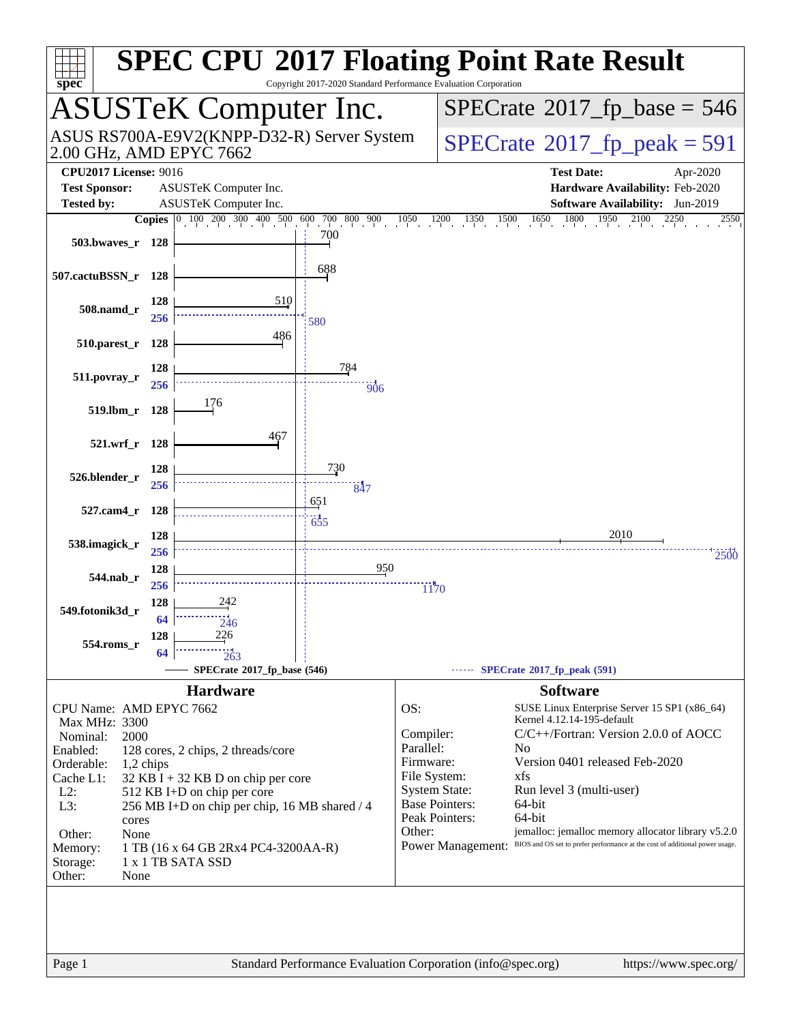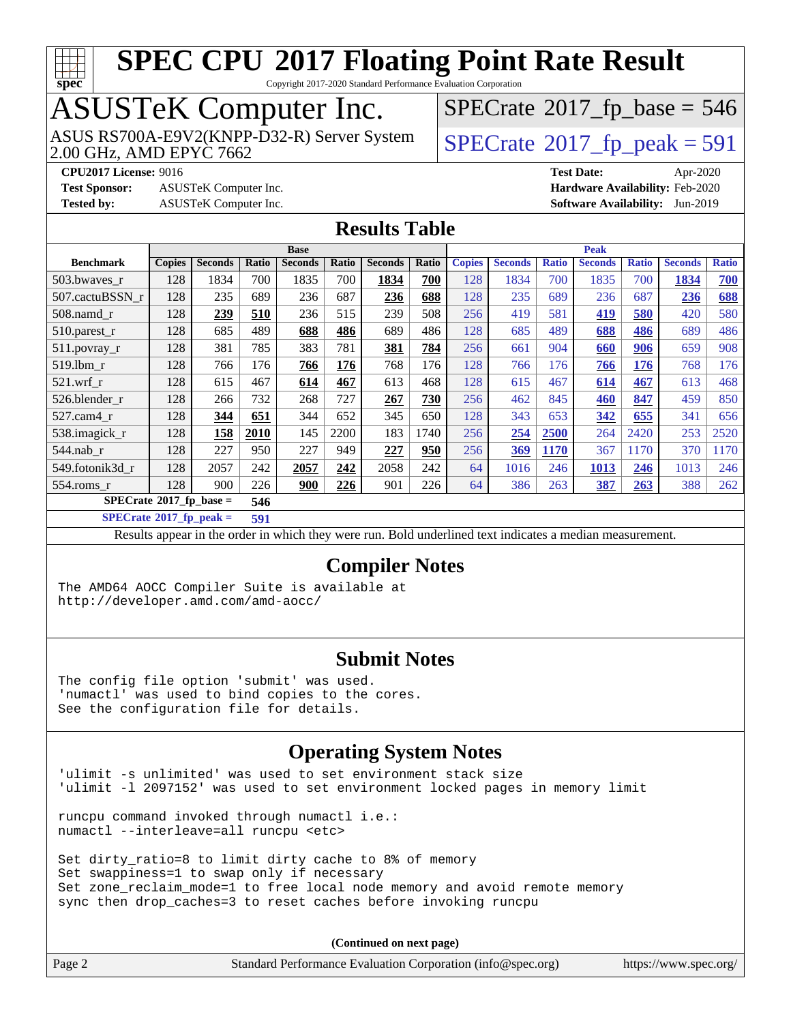

Copyright 2017-2020 Standard Performance Evaluation Corporation

# ASUSTeK Computer Inc.<br>ASUS RS700A-E9V2(KNPP-D32-R) Server System

2.00 GHz, AMD EPYC 7662

 $SPECTate@2017_fp\_peak = 591$  $SPECTate$ <sup>®</sup>[2017\\_fp\\_base =](http://www.spec.org/auto/cpu2017/Docs/result-fields.html#SPECrate2017fpbase) 546

**[Test Sponsor:](http://www.spec.org/auto/cpu2017/Docs/result-fields.html#TestSponsor)** ASUSTeK Computer Inc. **[Hardware Availability:](http://www.spec.org/auto/cpu2017/Docs/result-fields.html#HardwareAvailability)** Feb-2020

**[CPU2017 License:](http://www.spec.org/auto/cpu2017/Docs/result-fields.html#CPU2017License)** 9016 **[Test Date:](http://www.spec.org/auto/cpu2017/Docs/result-fields.html#TestDate)** Apr-2020 **[Tested by:](http://www.spec.org/auto/cpu2017/Docs/result-fields.html#Testedby)** ASUSTeK Computer Inc. **[Software Availability:](http://www.spec.org/auto/cpu2017/Docs/result-fields.html#SoftwareAvailability)** Jun-2019

#### **[Results Table](http://www.spec.org/auto/cpu2017/Docs/result-fields.html#ResultsTable)**

|                                    | <b>Base</b>   |                |       |                | <b>Peak</b> |                |       |               |                |              |                |              |                |              |
|------------------------------------|---------------|----------------|-------|----------------|-------------|----------------|-------|---------------|----------------|--------------|----------------|--------------|----------------|--------------|
| <b>Benchmark</b>                   | <b>Copies</b> | <b>Seconds</b> | Ratio | <b>Seconds</b> | Ratio       | <b>Seconds</b> | Ratio | <b>Copies</b> | <b>Seconds</b> | <b>Ratio</b> | <b>Seconds</b> | <b>Ratio</b> | <b>Seconds</b> | <b>Ratio</b> |
| 503.bwaves_r                       | 128           | 1834           | 700   | 1835           | 700         | 1834           | 700   | 128           | 1834           | 700          | 1835           | 700          | 1834           | 700          |
| 507.cactuBSSN r                    | 128           | 235            | 689   | 236            | 687         | 236            | 688   | 128           | 235            | 689          | 236            | 687          | 236            | 688          |
| $508$ .namd $r$                    | 128           | 239            | 510   | 236            | 515         | 239            | 508   | 256           | 419            | 581          | 419            | 580          | 420            | 580          |
| 510.parest_r                       | 128           | 685            | 489   | 688            | 486         | 689            | 486   | 128           | 685            | 489          | 688            | 486          | 689            | 486          |
| 511.povray_r                       | 128           | 381            | 785   | 383            | 781         | 381            | 784   | 256           | 661            | 904          | 660            | 906          | 659            | 908          |
| 519.1bm r                          | 128           | 766            | 176   | 766            | 176         | 768            | 176   | 128           | 766            | 176          | 766            | 176          | 768            | 176          |
| $521.wrf_r$                        | 128           | 615            | 467   | 614            | 467         | 613            | 468   | 128           | 615            | 467          | 614            | 467          | 613            | 468          |
| 526.blender r                      | 128           | 266            | 732   | 268            | 727         | 267            | 730   | 256           | 462            | 845          | 460            | 847          | 459            | 850          |
| 527.cam4 r                         | 128           | 344            | 651   | 344            | 652         | 345            | 650   | 128           | 343            | 653          | 342            | 655          | 341            | 656          |
| 538.imagick_r                      | 128           | 158            | 2010  | 145            | 2200        | 183            | 1740  | 256           | 254            | 2500         | 264            | 2420         | 253            | 2520         |
| $544$ .nab r                       | 128           | 227            | 950   | 227            | 949         | 227            | 950   | 256           | 369            | 1170         | 367            | 1170         | 370            | 1170         |
| 549.fotonik3d r                    | 128           | 2057           | 242   | 2057           | 242         | 2058           | 242   | 64            | 1016           | 246          | 1013           | 246          | 1013           | 246          |
| $554$ .roms r                      | 128           | 900            | 226   | 900            | 226         | 901            | 226   | 64            | 386            | 263          | 387            | 263          | 388            | 262          |
| $SPECrate^{\otimes}2017$ fp base = |               |                | 546   |                |             |                |       |               |                |              |                |              |                |              |

**[SPECrate](http://www.spec.org/auto/cpu2017/Docs/result-fields.html#SPECrate2017fppeak)[2017\\_fp\\_peak =](http://www.spec.org/auto/cpu2017/Docs/result-fields.html#SPECrate2017fppeak) 591**

Results appear in the [order in which they were run](http://www.spec.org/auto/cpu2017/Docs/result-fields.html#RunOrder). Bold underlined text [indicates a median measurement](http://www.spec.org/auto/cpu2017/Docs/result-fields.html#Median).

#### **[Compiler Notes](http://www.spec.org/auto/cpu2017/Docs/result-fields.html#CompilerNotes)**

The AMD64 AOCC Compiler Suite is available at <http://developer.amd.com/amd-aocc/>

#### **[Submit Notes](http://www.spec.org/auto/cpu2017/Docs/result-fields.html#SubmitNotes)**

The config file option 'submit' was used. 'numactl' was used to bind copies to the cores. See the configuration file for details.

### **[Operating System Notes](http://www.spec.org/auto/cpu2017/Docs/result-fields.html#OperatingSystemNotes)**

'ulimit -s unlimited' was used to set environment stack size 'ulimit -l 2097152' was used to set environment locked pages in memory limit

runcpu command invoked through numactl i.e.: numactl --interleave=all runcpu <etc>

Set dirty\_ratio=8 to limit dirty cache to 8% of memory Set swappiness=1 to swap only if necessary Set zone\_reclaim\_mode=1 to free local node memory and avoid remote memory sync then drop\_caches=3 to reset caches before invoking runcpu

| Page 2 | Standard Performance Evaluation Corporation (info@spec.org) | https://www.spec.org/ |
|--------|-------------------------------------------------------------|-----------------------|
|        |                                                             |                       |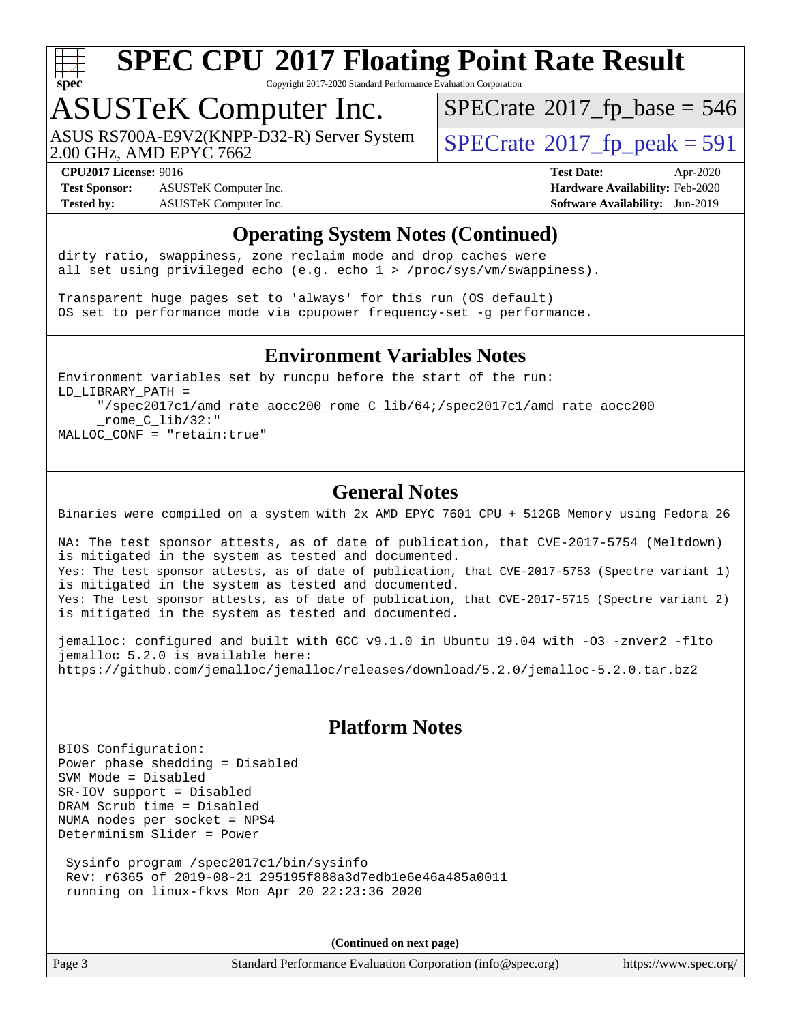

Copyright 2017-2020 Standard Performance Evaluation Corporation

### ASUSTeK Computer Inc.

2.00 GHz, AMD EPYC 7662 ASUS RS700A-E9V2(KNPP-D32-R) Server System  $\big|$  [SPECrate](http://www.spec.org/auto/cpu2017/Docs/result-fields.html#SPECrate2017fppeak)®[2017\\_fp\\_peak = 5](http://www.spec.org/auto/cpu2017/Docs/result-fields.html#SPECrate2017fppeak)91

 $SPECTate$ <sup>®</sup>[2017\\_fp\\_base =](http://www.spec.org/auto/cpu2017/Docs/result-fields.html#SPECrate2017fpbase) 546

**[Test Sponsor:](http://www.spec.org/auto/cpu2017/Docs/result-fields.html#TestSponsor)** ASUSTeK Computer Inc. **[Hardware Availability:](http://www.spec.org/auto/cpu2017/Docs/result-fields.html#HardwareAvailability)** Feb-2020 **[Tested by:](http://www.spec.org/auto/cpu2017/Docs/result-fields.html#Testedby)** ASUSTeK Computer Inc. **[Software Availability:](http://www.spec.org/auto/cpu2017/Docs/result-fields.html#SoftwareAvailability)** Jun-2019

**[CPU2017 License:](http://www.spec.org/auto/cpu2017/Docs/result-fields.html#CPU2017License)** 9016 **[Test Date:](http://www.spec.org/auto/cpu2017/Docs/result-fields.html#TestDate)** Apr-2020

### **[Operating System Notes \(Continued\)](http://www.spec.org/auto/cpu2017/Docs/result-fields.html#OperatingSystemNotes)**

dirty\_ratio, swappiness, zone\_reclaim\_mode and drop caches were all set using privileged echo (e.g. echo 1 > /proc/sys/vm/swappiness).

Transparent huge pages set to 'always' for this run (OS default) OS set to performance mode via cpupower frequency-set -g performance.

#### **[Environment Variables Notes](http://www.spec.org/auto/cpu2017/Docs/result-fields.html#EnvironmentVariablesNotes)**

Environment variables set by runcpu before the start of the run: LD\_LIBRARY\_PATH = "/spec2017c1/amd\_rate\_aocc200\_rome\_C\_lib/64;/spec2017c1/amd\_rate\_aocc200 \_rome\_C\_lib/32:" MALLOC\_CONF = "retain:true"

### **[General Notes](http://www.spec.org/auto/cpu2017/Docs/result-fields.html#GeneralNotes)**

Binaries were compiled on a system with 2x AMD EPYC 7601 CPU + 512GB Memory using Fedora 26

NA: The test sponsor attests, as of date of publication, that CVE-2017-5754 (Meltdown) is mitigated in the system as tested and documented. Yes: The test sponsor attests, as of date of publication, that CVE-2017-5753 (Spectre variant 1) is mitigated in the system as tested and documented. Yes: The test sponsor attests, as of date of publication, that CVE-2017-5715 (Spectre variant 2) is mitigated in the system as tested and documented.

jemalloc: configured and built with GCC v9.1.0 in Ubuntu 19.04 with -O3 -znver2 -flto jemalloc 5.2.0 is available here: <https://github.com/jemalloc/jemalloc/releases/download/5.2.0/jemalloc-5.2.0.tar.bz2>

### **[Platform Notes](http://www.spec.org/auto/cpu2017/Docs/result-fields.html#PlatformNotes)**

BIOS Configuration: Power phase shedding = Disabled SVM Mode = Disabled SR-IOV support = Disabled DRAM Scrub time = Disabled NUMA nodes per socket = NPS4 Determinism Slider = Power

 Sysinfo program /spec2017c1/bin/sysinfo Rev: r6365 of 2019-08-21 295195f888a3d7edb1e6e46a485a0011 running on linux-fkvs Mon Apr 20 22:23:36 2020

**(Continued on next page)**

Page 3 Standard Performance Evaluation Corporation [\(info@spec.org\)](mailto:info@spec.org) <https://www.spec.org/>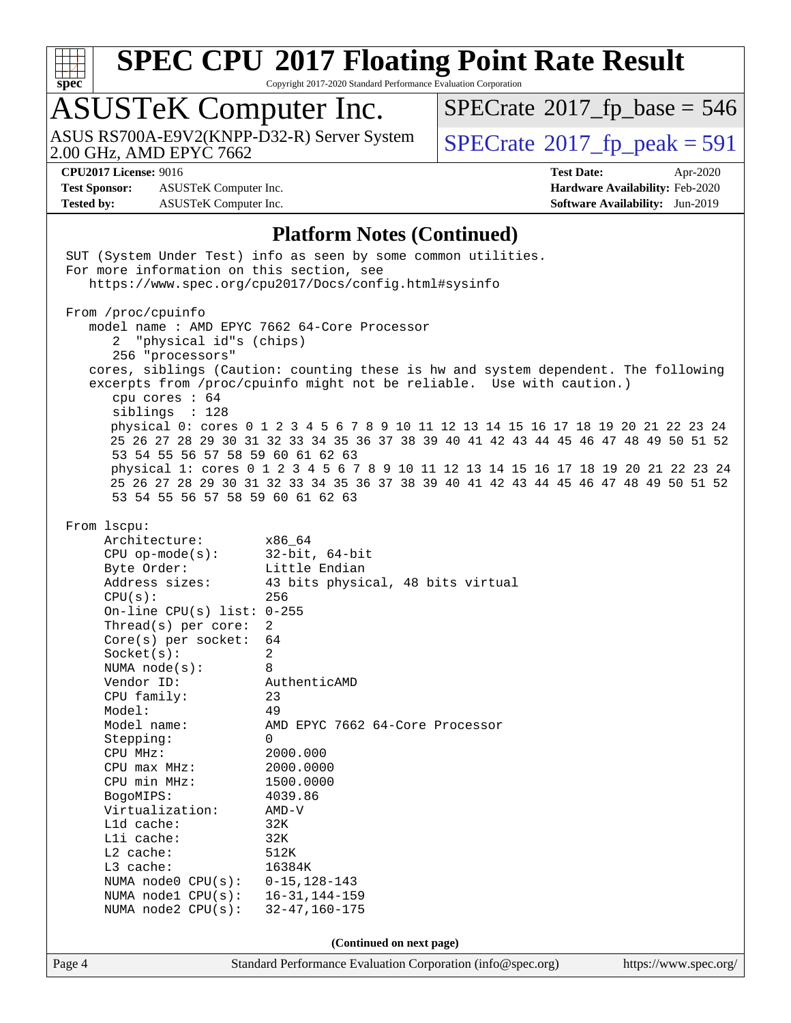

Copyright 2017-2020 Standard Performance Evaluation Corporation

### ASUSTeK Computer Inc.

ASUS RS700A-E9V2(KNPP-D32-R) Server System  $\big|$  [SPECrate](http://www.spec.org/auto/cpu2017/Docs/result-fields.html#SPECrate2017fppeak)®[2017\\_fp\\_peak = 5](http://www.spec.org/auto/cpu2017/Docs/result-fields.html#SPECrate2017fppeak)91<br>2.00 GHz, AMD EPYC 7662

 $SPECrate$ <sup>®</sup>[2017\\_fp\\_base =](http://www.spec.org/auto/cpu2017/Docs/result-fields.html#SPECrate2017fpbase) 546

**[Test Sponsor:](http://www.spec.org/auto/cpu2017/Docs/result-fields.html#TestSponsor)** ASUSTeK Computer Inc. **[Hardware Availability:](http://www.spec.org/auto/cpu2017/Docs/result-fields.html#HardwareAvailability)** Feb-2020 **[Tested by:](http://www.spec.org/auto/cpu2017/Docs/result-fields.html#Testedby)** ASUSTeK Computer Inc. **[Software Availability:](http://www.spec.org/auto/cpu2017/Docs/result-fields.html#SoftwareAvailability)** Jun-2019

**[CPU2017 License:](http://www.spec.org/auto/cpu2017/Docs/result-fields.html#CPU2017License)** 9016 **[Test Date:](http://www.spec.org/auto/cpu2017/Docs/result-fields.html#TestDate)** Apr-2020

### **[Platform Notes \(Continued\)](http://www.spec.org/auto/cpu2017/Docs/result-fields.html#PlatformNotes)**

| For more information on this section, see                                                                                                                                                                                                                                                                                                                                                                                                                                                                     | SUT (System Under Test) info as seen by some common utilities.<br>https://www.spec.org/cpu2017/Docs/config.html#sysinfo                                                                                                                                                                                                                                                                                                                                                                                               |                       |
|---------------------------------------------------------------------------------------------------------------------------------------------------------------------------------------------------------------------------------------------------------------------------------------------------------------------------------------------------------------------------------------------------------------------------------------------------------------------------------------------------------------|-----------------------------------------------------------------------------------------------------------------------------------------------------------------------------------------------------------------------------------------------------------------------------------------------------------------------------------------------------------------------------------------------------------------------------------------------------------------------------------------------------------------------|-----------------------|
| From /proc/cpuinfo<br>model name : AMD EPYC 7662 64-Core Processor<br>"physical id"s (chips)<br>2<br>256 "processors"<br>cpu cores : 64<br>siblings : 128<br>53 54 55 56 57 58 59 60 61 62 63<br>53 54 55 56 57 58 59 60 61 62 63                                                                                                                                                                                                                                                                             | cores, siblings (Caution: counting these is hw and system dependent. The following<br>excerpts from /proc/cpuinfo might not be reliable. Use with caution.)<br>physical 0: cores 0 1 2 3 4 5 6 7 8 9 10 11 12 13 14 15 16 17 18 19 20 21 22 23 24<br>25 26 27 28 29 30 31 32 33 34 35 36 37 38 39 40 41 42 43 44 45 46 47 48 49 50 51 52<br>physical 1: cores 0 1 2 3 4 5 6 7 8 9 10 11 12 13 14 15 16 17 18 19 20 21 22 23 24<br>25 26 27 28 29 30 31 32 33 34 35 36 37 38 39 40 41 42 43 44 45 46 47 48 49 50 51 52 |                       |
| From 1scpu:<br>Architecture:<br>CPU op-mode(s): $32$ -bit, 64-bit<br>Byte Order:<br>Address sizes:<br>CPU(s):<br>On-line CPU(s) list: $0-255$<br>Thread(s) per core:<br>$Core(s)$ per socket:<br>Socket(s):<br>NUMA node(s):<br>Vendor ID:<br>CPU family:<br>Model:<br>Model name:<br>Stepping:<br>CPU MHz:<br>CPU max MHz: 2000.0000<br>CPU min MHz:<br>BogoMIPS:<br>Virtualization:<br>Lld cache:<br>Lli cache:<br>L2 cache:<br>L3 cache:<br>NUMA node0 CPU(s):<br>NUMA nodel CPU(s):<br>NUMA node2 CPU(s): | x86 64<br>Little Endian<br>43 bits physical, 48 bits virtual<br>256<br>2<br>64<br>2<br>8<br>AuthenticAMD<br>23<br>49<br>AMD EPYC 7662 64-Core Processor<br>$\overline{0}$<br>2000.000<br>1500.0000<br>4039.86<br>$AMD-V$<br>32K<br>32K<br>512K<br>16384K<br>$0 - 15, 128 - 143$<br>$16 - 31, 144 - 159$<br>$32 - 47, 160 - 175$                                                                                                                                                                                       |                       |
|                                                                                                                                                                                                                                                                                                                                                                                                                                                                                                               | (Continued on next page)                                                                                                                                                                                                                                                                                                                                                                                                                                                                                              |                       |
| Page 4                                                                                                                                                                                                                                                                                                                                                                                                                                                                                                        | Standard Performance Evaluation Corporation (info@spec.org)                                                                                                                                                                                                                                                                                                                                                                                                                                                           | https://www.spec.org/ |
|                                                                                                                                                                                                                                                                                                                                                                                                                                                                                                               |                                                                                                                                                                                                                                                                                                                                                                                                                                                                                                                       |                       |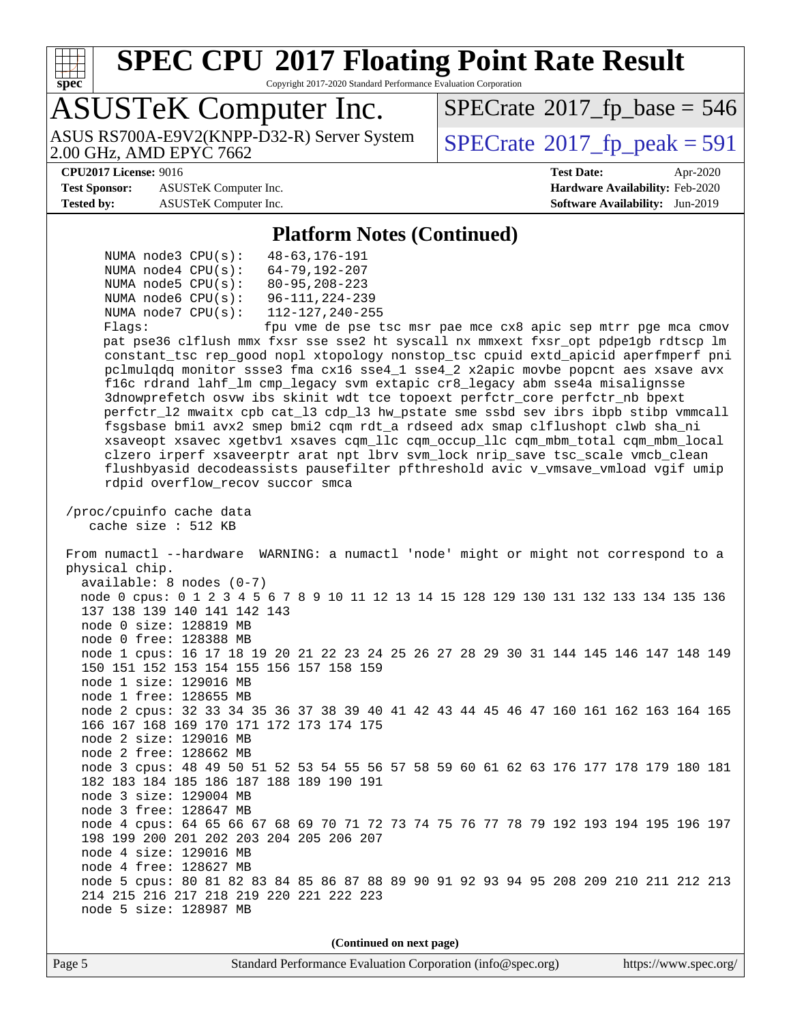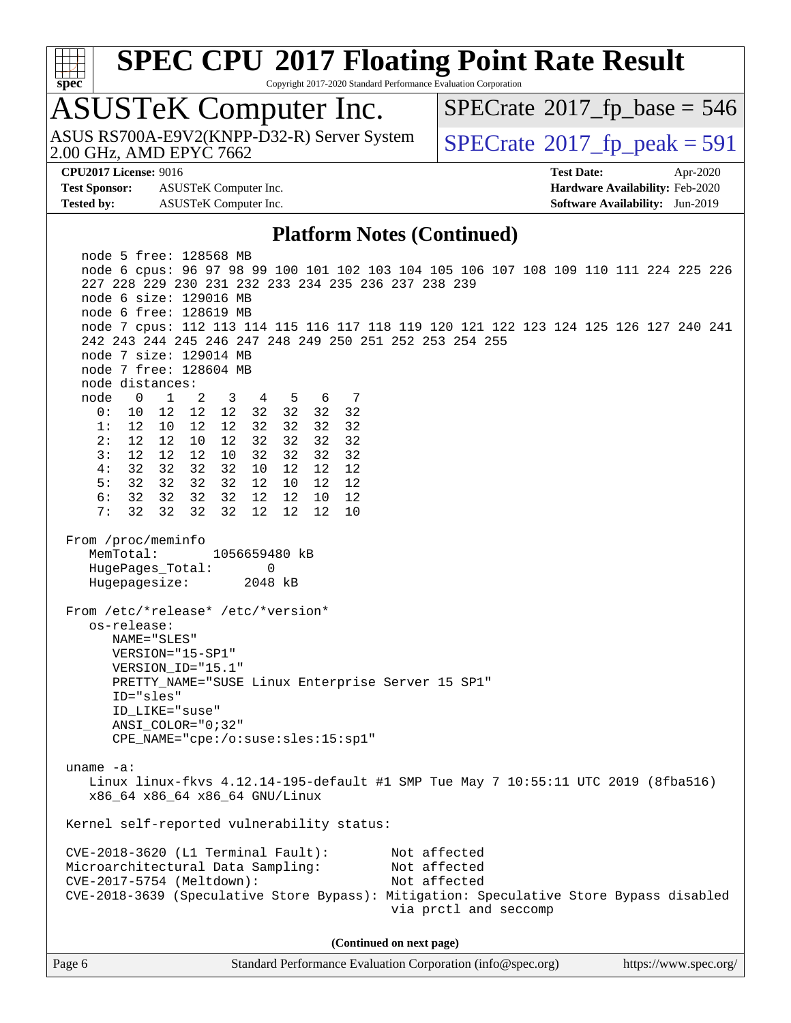| ç. | П | e | L |  |
|----|---|---|---|--|

Copyright 2017-2020 Standard Performance Evaluation Corporation

### ASUSTeK Computer Inc.

2.00 GHz, AMD EPYC 7662 ASUS RS700A-E9V2(KNPP-D32-R) Server System  $\big|$  [SPECrate](http://www.spec.org/auto/cpu2017/Docs/result-fields.html#SPECrate2017fppeak)®[2017\\_fp\\_peak = 5](http://www.spec.org/auto/cpu2017/Docs/result-fields.html#SPECrate2017fppeak)91

 $SPECTate$ <sup>®</sup>[2017\\_fp\\_base =](http://www.spec.org/auto/cpu2017/Docs/result-fields.html#SPECrate2017fpbase) 546

**[Test Sponsor:](http://www.spec.org/auto/cpu2017/Docs/result-fields.html#TestSponsor)** ASUSTeK Computer Inc. **[Hardware Availability:](http://www.spec.org/auto/cpu2017/Docs/result-fields.html#HardwareAvailability)** Feb-2020 **[Tested by:](http://www.spec.org/auto/cpu2017/Docs/result-fields.html#Testedby)** ASUSTeK Computer Inc. **[Software Availability:](http://www.spec.org/auto/cpu2017/Docs/result-fields.html#SoftwareAvailability)** Jun-2019

**[CPU2017 License:](http://www.spec.org/auto/cpu2017/Docs/result-fields.html#CPU2017License)** 9016 **[Test Date:](http://www.spec.org/auto/cpu2017/Docs/result-fields.html#TestDate)** Apr-2020

#### **[Platform Notes \(Continued\)](http://www.spec.org/auto/cpu2017/Docs/result-fields.html#PlatformNotes)**

 node 5 free: 128568 MB node 6 cpus: 96 97 98 99 100 101 102 103 104 105 106 107 108 109 110 111 224 225 226 227 228 229 230 231 232 233 234 235 236 237 238 239 node 6 size: 129016 MB node 6 free: 128619 MB node 7 cpus: 112 113 114 115 116 117 118 119 120 121 122 123 124 125 126 127 240 241 242 243 244 245 246 247 248 249 250 251 252 253 254 255 node 7 size: 129014 MB node 7 free: 128604 MB node distances: node 0 1 2 3 4 5 6 7 0: 10 12 12 12 32 32 32 32 1: 12 10 12 12 32 32 32 32 2: 12 12 10 12 32 32 32 32 3: 12 12 12 10 32 32 32 32 4: 32 32 32 32 10 12 12 12 5: 32 32 32 32 12 10 12 12 6: 32 32 32 32 12 12 10 12 7: 32 32 32 32 12 12 12 10 From /proc/meminfo MemTotal: 1056659480 kB HugePages\_Total: 0 Hugepagesize: 2048 kB From /etc/\*release\* /etc/\*version\* os-release: NAME="SLES" VERSION="15-SP1" VERSION\_ID="15.1" PRETTY\_NAME="SUSE Linux Enterprise Server 15 SP1" ID="sles" ID\_LIKE="suse" ANSI\_COLOR="0;32" CPE\_NAME="cpe:/o:suse:sles:15:sp1" uname -a: Linux linux-fkvs 4.12.14-195-default #1 SMP Tue May 7 10:55:11 UTC 2019 (8fba516) x86\_64 x86\_64 x86\_64 GNU/Linux Kernel self-reported vulnerability status: CVE-2018-3620 (L1 Terminal Fault): Not affected Microarchitectural Data Sampling: Not affected CVE-2017-5754 (Meltdown): Not affected CVE-2018-3639 (Speculative Store Bypass): Mitigation: Speculative Store Bypass disabled via prctl and seccomp **(Continued on next page)**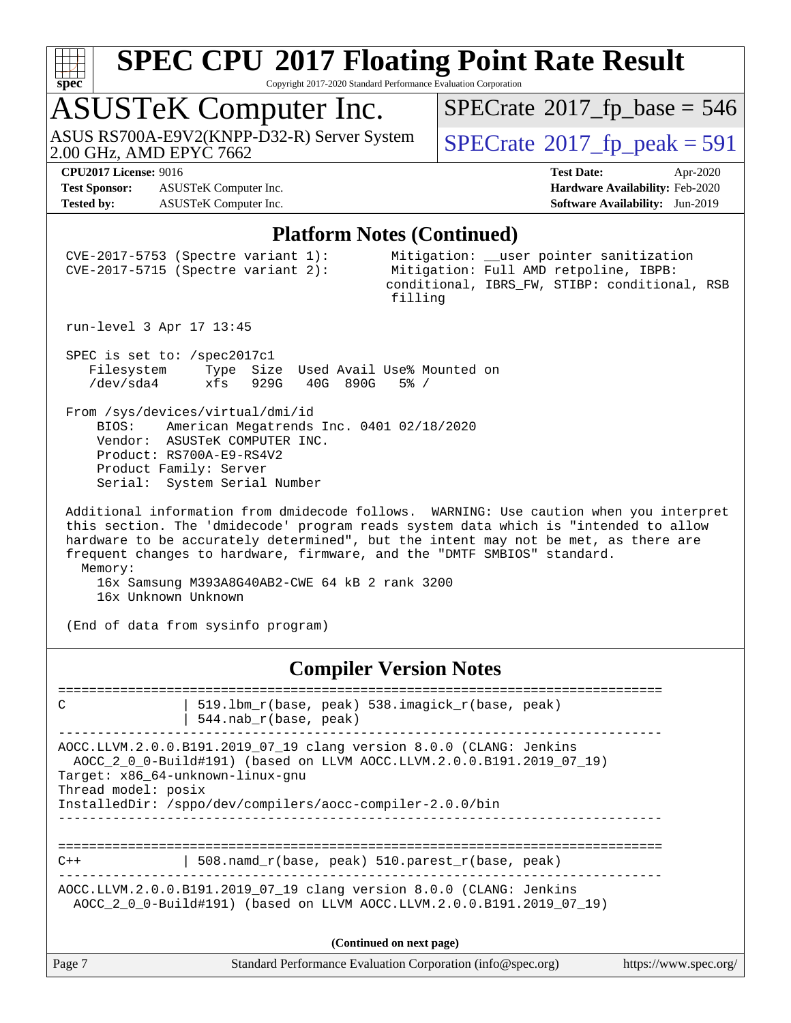

Copyright 2017-2020 Standard Performance Evaluation Corporation

### ASUSTeK Computer Inc.

ASUS RS700A-E9V2(KNPP-D32-R) Server System  $\big|$  [SPECrate](http://www.spec.org/auto/cpu2017/Docs/result-fields.html#SPECrate2017fppeak)®[2017\\_fp\\_peak = 5](http://www.spec.org/auto/cpu2017/Docs/result-fields.html#SPECrate2017fppeak)91<br>2.00 GHz, AMD EPYC 7662

 $SPECrate$ <sup>®</sup>[2017\\_fp\\_base =](http://www.spec.org/auto/cpu2017/Docs/result-fields.html#SPECrate2017fpbase) 546

**[Test Sponsor:](http://www.spec.org/auto/cpu2017/Docs/result-fields.html#TestSponsor)** ASUSTeK Computer Inc. **[Hardware Availability:](http://www.spec.org/auto/cpu2017/Docs/result-fields.html#HardwareAvailability)** Feb-2020 **[Tested by:](http://www.spec.org/auto/cpu2017/Docs/result-fields.html#Testedby)** ASUSTeK Computer Inc. **[Software Availability:](http://www.spec.org/auto/cpu2017/Docs/result-fields.html#SoftwareAvailability)** Jun-2019

**[CPU2017 License:](http://www.spec.org/auto/cpu2017/Docs/result-fields.html#CPU2017License)** 9016 **[Test Date:](http://www.spec.org/auto/cpu2017/Docs/result-fields.html#TestDate)** Apr-2020

#### **[Platform Notes \(Continued\)](http://www.spec.org/auto/cpu2017/Docs/result-fields.html#PlatformNotes)**

| Page 7                                   |                                                                                                                                                                                                     | Standard Performance Evaluation Corporation (info@spec.org)                                                                                                                                                                                                                                                                                    | https://www.spec.org/ |
|------------------------------------------|-----------------------------------------------------------------------------------------------------------------------------------------------------------------------------------------------------|------------------------------------------------------------------------------------------------------------------------------------------------------------------------------------------------------------------------------------------------------------------------------------------------------------------------------------------------|-----------------------|
|                                          |                                                                                                                                                                                                     | (Continued on next page)                                                                                                                                                                                                                                                                                                                       |                       |
|                                          |                                                                                                                                                                                                     | AOCC.LLVM.2.0.0.B191.2019_07_19 clang version 8.0.0 (CLANG: Jenkins<br>AOCC_2_0_0-Build#191) (based on LLVM AOCC.LLVM.2.0.0.B191.2019_07_19)                                                                                                                                                                                                   |                       |
| $C++$                                    |                                                                                                                                                                                                     | 508.namd_r(base, peak) 510.parest_r(base, peak)                                                                                                                                                                                                                                                                                                |                       |
| Thread model: posix                      | Target: x86_64-unknown-linux-gnu<br>InstalledDir: /sppo/dev/compilers/aocc-compiler-2.0.0/bin                                                                                                       | AOCC.LLVM.2.0.0.B191.2019_07_19 clang version 8.0.0 (CLANG: Jenkins<br>AOCC_2_0_0-Build#191) (based on LLVM AOCC.LLVM.2.0.0.B191.2019_07_19)                                                                                                                                                                                                   |                       |
| C                                        | 544.nab_r(base, peak)                                                                                                                                                                               | 519.1bm_r(base, peak) 538.imagick_r(base, peak)                                                                                                                                                                                                                                                                                                |                       |
| ==========================               | ===================                                                                                                                                                                                 | <b>Compiler Version Notes</b><br>===============================                                                                                                                                                                                                                                                                               |                       |
| 16x Unknown Unknown                      | 16x Samsung M393A8G40AB2-CWE 64 kB 2 rank 3200<br>(End of data from sysinfo program)                                                                                                                |                                                                                                                                                                                                                                                                                                                                                |                       |
| Memory:                                  |                                                                                                                                                                                                     | Additional information from dmidecode follows. WARNING: Use caution when you interpret<br>this section. The 'dmidecode' program reads system data which is "intended to allow<br>hardware to be accurately determined", but the intent may not be met, as there are<br>frequent changes to hardware, firmware, and the "DMTF SMBIOS" standard. |                       |
| BIOS:                                    | From /sys/devices/virtual/dmi/id<br>American Megatrends Inc. 0401 02/18/2020<br>Vendor: ASUSTeK COMPUTER INC.<br>Product: RS700A-E9-RS4V2<br>Product Family: Server<br>Serial: System Serial Number |                                                                                                                                                                                                                                                                                                                                                |                       |
| SPEC is set to: /spec2017c1<br>/dev/sda4 | Filesystem Type Size Used Avail Use% Mounted on<br>xfs 929G 40G 890G 5% /                                                                                                                           |                                                                                                                                                                                                                                                                                                                                                |                       |
| run-level 3 Apr 17 13:45                 |                                                                                                                                                                                                     |                                                                                                                                                                                                                                                                                                                                                |                       |
|                                          | $CVE-2017-5753$ (Spectre variant 1):<br>CVE-2017-5715 (Spectre variant 2):                                                                                                                          | Mitigation: __user pointer sanitization<br>Mitigation: Full AMD retpoline, IBPB:<br>conditional, IBRS_FW, STIBP: conditional, RSB<br>filling                                                                                                                                                                                                   |                       |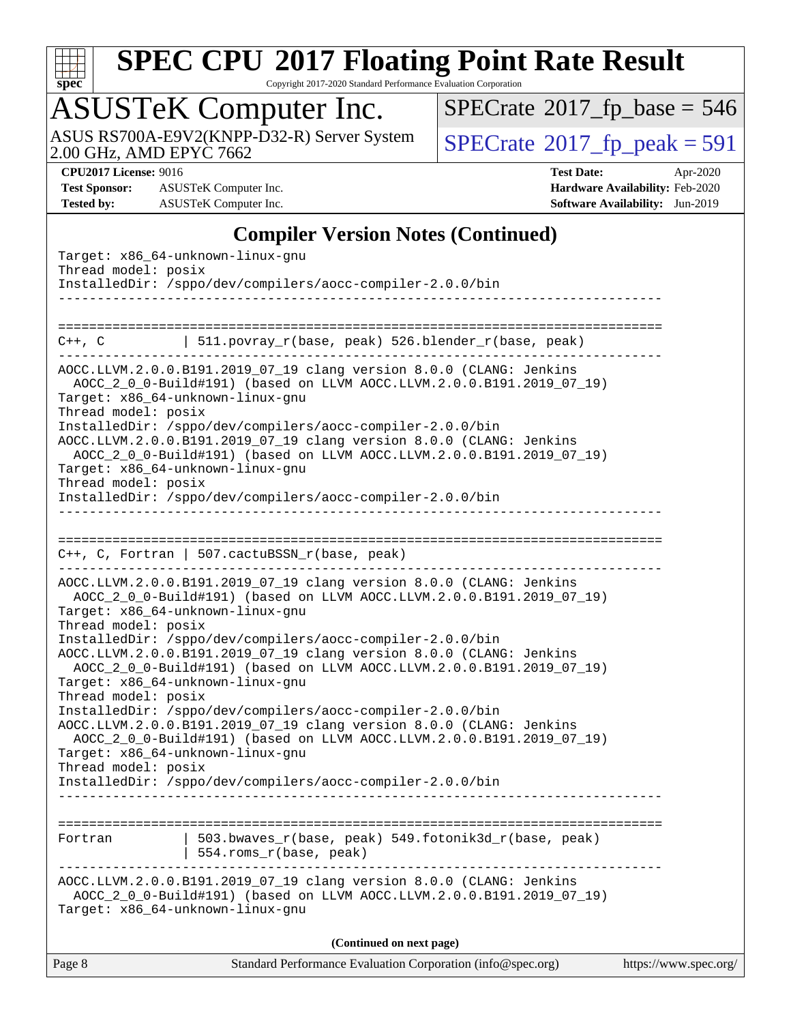

Copyright 2017-2020 Standard Performance Evaluation Corporation

### ASUSTeK Computer Inc.

 $SPECrate$ <sup>®</sup>[2017\\_fp\\_base =](http://www.spec.org/auto/cpu2017/Docs/result-fields.html#SPECrate2017fpbase) 546

ASUS RS700A-E9V2(KNPP-D32-R) Server System  $\big|$  [SPECrate](http://www.spec.org/auto/cpu2017/Docs/result-fields.html#SPECrate2017fppeak)®[2017\\_fp\\_peak = 5](http://www.spec.org/auto/cpu2017/Docs/result-fields.html#SPECrate2017fppeak)91<br>2.00 GHz, AMD EPYC 7662

**[Test Sponsor:](http://www.spec.org/auto/cpu2017/Docs/result-fields.html#TestSponsor)** ASUSTeK Computer Inc. **[Hardware Availability:](http://www.spec.org/auto/cpu2017/Docs/result-fields.html#HardwareAvailability)** Feb-2020 **[Tested by:](http://www.spec.org/auto/cpu2017/Docs/result-fields.html#Testedby)** ASUSTeK Computer Inc. **[Software Availability:](http://www.spec.org/auto/cpu2017/Docs/result-fields.html#SoftwareAvailability)** Jun-2019

**[CPU2017 License:](http://www.spec.org/auto/cpu2017/Docs/result-fields.html#CPU2017License)** 9016 **[Test Date:](http://www.spec.org/auto/cpu2017/Docs/result-fields.html#TestDate)** Apr-2020

### **[Compiler Version Notes \(Continued\)](http://www.spec.org/auto/cpu2017/Docs/result-fields.html#CompilerVersionNotes)**

| Thread model: posix                       | Target: x86_64-unknown-linux-gnu<br>InstalledDir: /sppo/dev/compilers/aocc-compiler-2.0.0/bin                                                                                                                                                 |                       |
|-------------------------------------------|-----------------------------------------------------------------------------------------------------------------------------------------------------------------------------------------------------------------------------------------------|-----------------------|
|                                           |                                                                                                                                                                                                                                               |                       |
| ==========================<br>$C++$ , $C$ | 511.povray_r(base, peak) 526.blender_r(base, peak)                                                                                                                                                                                            |                       |
| Thread model: posix                       | AOCC.LLVM.2.0.0.B191.2019_07_19 clang version 8.0.0 (CLANG: Jenkins<br>AOCC_2_0_0-Build#191) (based on LLVM AOCC.LLVM.2.0.0.B191.2019_07_19)<br>Target: x86_64-unknown-linux-gnu                                                              |                       |
|                                           | InstalledDir: /sppo/dev/compilers/aocc-compiler-2.0.0/bin<br>AOCC.LLVM.2.0.0.B191.2019_07_19 clang version 8.0.0 (CLANG: Jenkins<br>AOCC_2_0_0-Build#191) (based on LLVM AOCC.LLVM.2.0.0.B191.2019_07_19)<br>Target: x86_64-unknown-linux-gnu |                       |
| Thread model: posix                       | InstalledDir: /sppo/dev/compilers/aocc-compiler-2.0.0/bin                                                                                                                                                                                     |                       |
|                                           |                                                                                                                                                                                                                                               |                       |
|                                           | $C++$ , C, Fortran   507.cactuBSSN_r(base, peak)                                                                                                                                                                                              |                       |
| Thread model: posix                       | AOCC.LLVM.2.0.0.B191.2019_07_19 clang version 8.0.0 (CLANG: Jenkins<br>AOCC_2_0_0-Build#191) (based on LLVM AOCC.LLVM.2.0.0.B191.2019_07_19)<br>Target: x86_64-unknown-linux-gnu                                                              |                       |
|                                           | InstalledDir: /sppo/dev/compilers/aocc-compiler-2.0.0/bin<br>AOCC.LLVM.2.0.0.B191.2019_07_19 clang version 8.0.0 (CLANG: Jenkins<br>AOCC_2_0_0-Build#191) (based on LLVM AOCC.LLVM.2.0.0.B191.2019_07_19)<br>Target: x86_64-unknown-linux-gnu |                       |
| Thread model: posix                       | InstalledDir: /sppo/dev/compilers/aocc-compiler-2.0.0/bin<br>AOCC.LLVM.2.0.0.B191.2019_07_19 clang version 8.0.0 (CLANG: Jenkins<br>AOCC_2_0_0-Build#191) (based on LLVM AOCC.LLVM.2.0.0.B191.2019_07_19)                                     |                       |
| Thread model: posix                       | Target: x86_64-unknown-linux-gnu<br>InstalledDir: /sppo/dev/compilers/aocc-compiler-2.0.0/bin                                                                                                                                                 |                       |
|                                           |                                                                                                                                                                                                                                               |                       |
| Fortran                                   | 503.bwaves_r(base, peak) 549.fotonik3d_r(base, peak)<br>554.roms_r(base, peak)                                                                                                                                                                |                       |
|                                           | AOCC.LLVM.2.0.0.B191.2019_07_19 clang version 8.0.0 (CLANG: Jenkins<br>AOCC_2_0_0-Build#191) (based on LLVM AOCC.LLVM.2.0.0.B191.2019_07_19)<br>Target: x86_64-unknown-linux-gnu                                                              |                       |
|                                           | (Continued on next page)                                                                                                                                                                                                                      |                       |
| Page 8                                    | Standard Performance Evaluation Corporation (info@spec.org)                                                                                                                                                                                   | https://www.spec.org/ |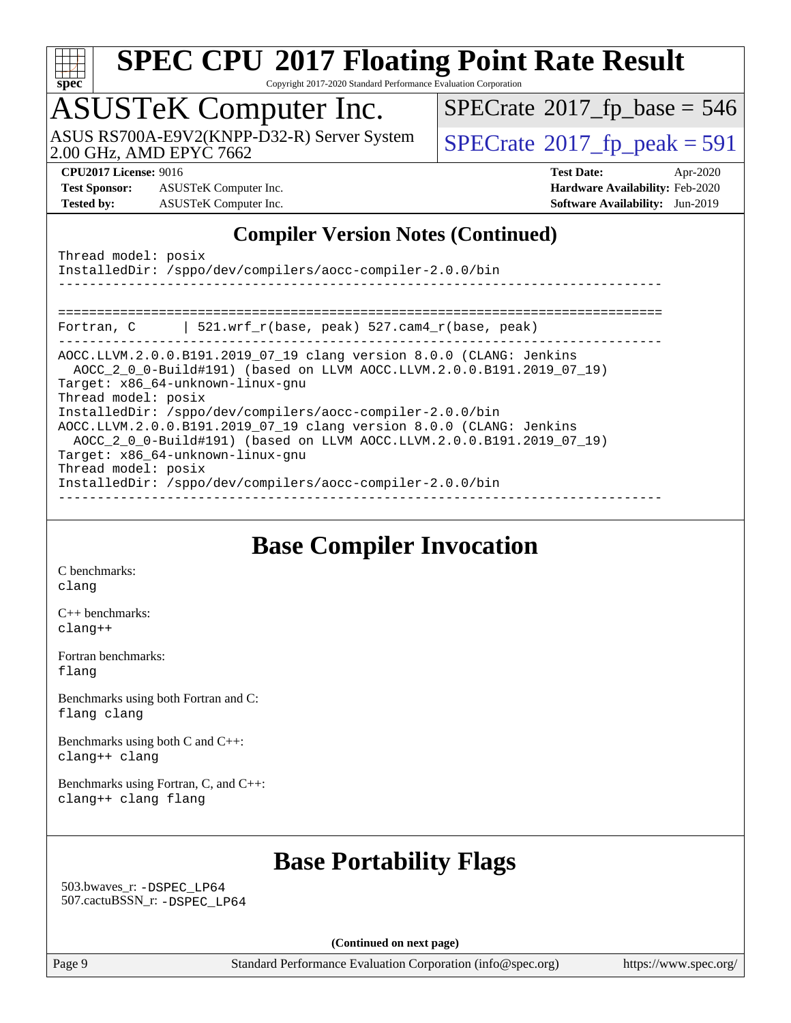

Copyright 2017-2020 Standard Performance Evaluation Corporation

# ASUSTeK Computer Inc.<br>ASUS RS700A-E9V2(KNPP-D32-R) Server System

2.00 GHz, AMD EPYC 7662

 $SPECTate@2017_fp\_peak = 591$  $SPECTate$ <sup>®</sup>[2017\\_fp\\_base =](http://www.spec.org/auto/cpu2017/Docs/result-fields.html#SPECrate2017fpbase) 546

**[Test Sponsor:](http://www.spec.org/auto/cpu2017/Docs/result-fields.html#TestSponsor)** ASUSTeK Computer Inc. **[Hardware Availability:](http://www.spec.org/auto/cpu2017/Docs/result-fields.html#HardwareAvailability)** Feb-2020 **[Tested by:](http://www.spec.org/auto/cpu2017/Docs/result-fields.html#Testedby)** ASUSTeK Computer Inc. **[Software Availability:](http://www.spec.org/auto/cpu2017/Docs/result-fields.html#SoftwareAvailability)** Jun-2019

**[CPU2017 License:](http://www.spec.org/auto/cpu2017/Docs/result-fields.html#CPU2017License)** 9016 **[Test Date:](http://www.spec.org/auto/cpu2017/Docs/result-fields.html#TestDate)** Apr-2020

### **[Compiler Version Notes \(Continued\)](http://www.spec.org/auto/cpu2017/Docs/result-fields.html#CompilerVersionNotes)**

### **[Base Compiler Invocation](http://www.spec.org/auto/cpu2017/Docs/result-fields.html#BaseCompilerInvocation)**

[C benchmarks](http://www.spec.org/auto/cpu2017/Docs/result-fields.html#Cbenchmarks): [clang](http://www.spec.org/cpu2017/results/res2020q2/cpu2017-20200427-22094.flags.html#user_CCbase_clang-c)

[C++ benchmarks:](http://www.spec.org/auto/cpu2017/Docs/result-fields.html#CXXbenchmarks) [clang++](http://www.spec.org/cpu2017/results/res2020q2/cpu2017-20200427-22094.flags.html#user_CXXbase_clang-cpp)

[Fortran benchmarks](http://www.spec.org/auto/cpu2017/Docs/result-fields.html#Fortranbenchmarks): [flang](http://www.spec.org/cpu2017/results/res2020q2/cpu2017-20200427-22094.flags.html#user_FCbase_flang)

[Benchmarks using both Fortran and C](http://www.spec.org/auto/cpu2017/Docs/result-fields.html#BenchmarksusingbothFortranandC): [flang](http://www.spec.org/cpu2017/results/res2020q2/cpu2017-20200427-22094.flags.html#user_CC_FCbase_flang) [clang](http://www.spec.org/cpu2017/results/res2020q2/cpu2017-20200427-22094.flags.html#user_CC_FCbase_clang-c)

[Benchmarks using both C and C++](http://www.spec.org/auto/cpu2017/Docs/result-fields.html#BenchmarksusingbothCandCXX): [clang++](http://www.spec.org/cpu2017/results/res2020q2/cpu2017-20200427-22094.flags.html#user_CC_CXXbase_clang-cpp) [clang](http://www.spec.org/cpu2017/results/res2020q2/cpu2017-20200427-22094.flags.html#user_CC_CXXbase_clang-c)

[Benchmarks using Fortran, C, and C++:](http://www.spec.org/auto/cpu2017/Docs/result-fields.html#BenchmarksusingFortranCandCXX) [clang++](http://www.spec.org/cpu2017/results/res2020q2/cpu2017-20200427-22094.flags.html#user_CC_CXX_FCbase_clang-cpp) [clang](http://www.spec.org/cpu2017/results/res2020q2/cpu2017-20200427-22094.flags.html#user_CC_CXX_FCbase_clang-c) [flang](http://www.spec.org/cpu2017/results/res2020q2/cpu2017-20200427-22094.flags.html#user_CC_CXX_FCbase_flang)

### **[Base Portability Flags](http://www.spec.org/auto/cpu2017/Docs/result-fields.html#BasePortabilityFlags)**

 503.bwaves\_r: [-DSPEC\\_LP64](http://www.spec.org/cpu2017/results/res2020q2/cpu2017-20200427-22094.flags.html#suite_baseEXTRA_PORTABILITY503_bwaves_r_DSPEC_LP64) 507.cactuBSSN\_r: [-DSPEC\\_LP64](http://www.spec.org/cpu2017/results/res2020q2/cpu2017-20200427-22094.flags.html#suite_baseEXTRA_PORTABILITY507_cactuBSSN_r_DSPEC_LP64)

**(Continued on next page)**

Page 9 Standard Performance Evaluation Corporation [\(info@spec.org\)](mailto:info@spec.org) <https://www.spec.org/>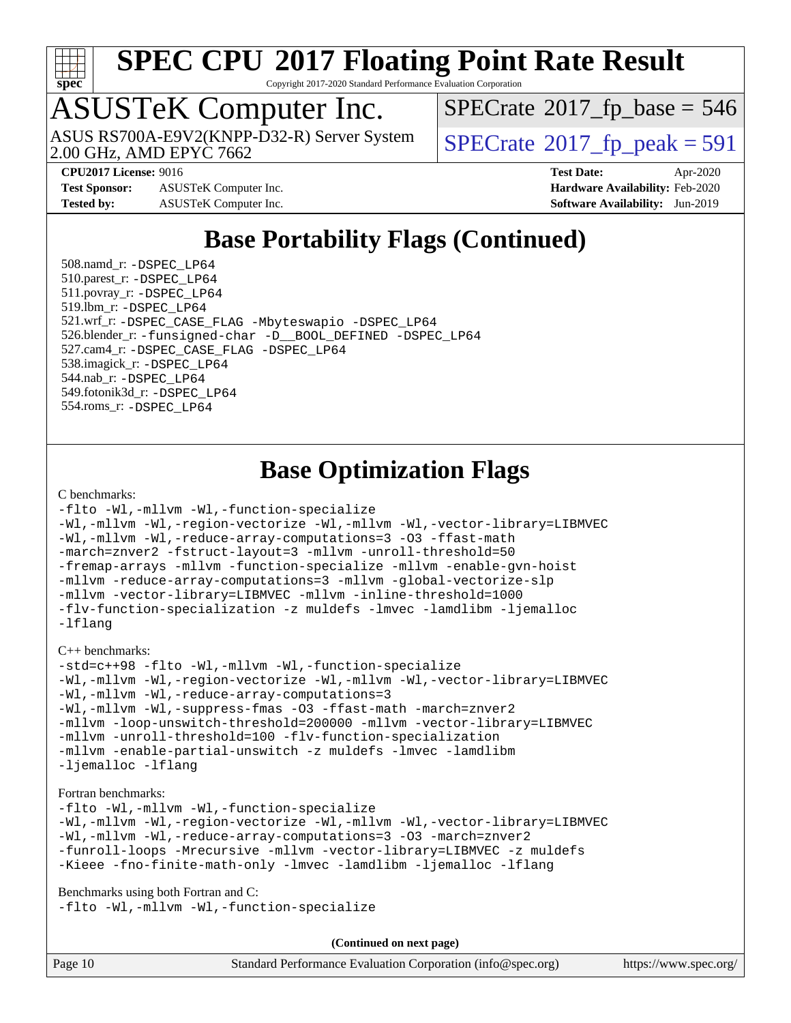

Copyright 2017-2020 Standard Performance Evaluation Corporation

# ASUSTeK Computer Inc.

2.00 GHz, AMD EPYC 7662 ASUS RS700A-E9V2(KNPP-D32-R) Server System  $\big|$  [SPECrate](http://www.spec.org/auto/cpu2017/Docs/result-fields.html#SPECrate2017fppeak)®[2017\\_fp\\_peak = 5](http://www.spec.org/auto/cpu2017/Docs/result-fields.html#SPECrate2017fppeak)91

 $SPECTate$ <sup>®</sup>[2017\\_fp\\_base =](http://www.spec.org/auto/cpu2017/Docs/result-fields.html#SPECrate2017fpbase) 546

**[Test Sponsor:](http://www.spec.org/auto/cpu2017/Docs/result-fields.html#TestSponsor)** ASUSTeK Computer Inc. **[Hardware Availability:](http://www.spec.org/auto/cpu2017/Docs/result-fields.html#HardwareAvailability)** Feb-2020 **[Tested by:](http://www.spec.org/auto/cpu2017/Docs/result-fields.html#Testedby)** ASUSTeK Computer Inc. **[Software Availability:](http://www.spec.org/auto/cpu2017/Docs/result-fields.html#SoftwareAvailability)** Jun-2019

**[CPU2017 License:](http://www.spec.org/auto/cpu2017/Docs/result-fields.html#CPU2017License)** 9016 **[Test Date:](http://www.spec.org/auto/cpu2017/Docs/result-fields.html#TestDate)** Apr-2020

### **[Base Portability Flags \(Continued\)](http://www.spec.org/auto/cpu2017/Docs/result-fields.html#BasePortabilityFlags)**

 508.namd\_r: [-DSPEC\\_LP64](http://www.spec.org/cpu2017/results/res2020q2/cpu2017-20200427-22094.flags.html#suite_baseEXTRA_PORTABILITY508_namd_r_DSPEC_LP64) 510.parest\_r: [-DSPEC\\_LP64](http://www.spec.org/cpu2017/results/res2020q2/cpu2017-20200427-22094.flags.html#suite_baseEXTRA_PORTABILITY510_parest_r_DSPEC_LP64) 511.povray\_r: [-DSPEC\\_LP64](http://www.spec.org/cpu2017/results/res2020q2/cpu2017-20200427-22094.flags.html#suite_baseEXTRA_PORTABILITY511_povray_r_DSPEC_LP64) 519.lbm\_r: [-DSPEC\\_LP64](http://www.spec.org/cpu2017/results/res2020q2/cpu2017-20200427-22094.flags.html#suite_baseEXTRA_PORTABILITY519_lbm_r_DSPEC_LP64) 521.wrf\_r: [-DSPEC\\_CASE\\_FLAG](http://www.spec.org/cpu2017/results/res2020q2/cpu2017-20200427-22094.flags.html#b521.wrf_r_baseCPORTABILITY_DSPEC_CASE_FLAG) [-Mbyteswapio](http://www.spec.org/cpu2017/results/res2020q2/cpu2017-20200427-22094.flags.html#user_baseFPORTABILITY521_wrf_r_F-mbyteswapio_543c39ce38db59bcbc3b888917ef58c313007ae1c27520b689e012995ae261114051d1d5efcb4182d175ce22a6a15532d3a9999882dd2c360e6d853f41da6883) [-DSPEC\\_LP64](http://www.spec.org/cpu2017/results/res2020q2/cpu2017-20200427-22094.flags.html#suite_baseEXTRA_PORTABILITY521_wrf_r_DSPEC_LP64) 526.blender\_r: [-funsigned-char](http://www.spec.org/cpu2017/results/res2020q2/cpu2017-20200427-22094.flags.html#user_baseCPORTABILITY526_blender_r_aocc-unsigned-char) [-D\\_\\_BOOL\\_DEFINED](http://www.spec.org/cpu2017/results/res2020q2/cpu2017-20200427-22094.flags.html#b526.blender_r_baseCXXPORTABILITY_D__BOOL_DEFINED) [-DSPEC\\_LP64](http://www.spec.org/cpu2017/results/res2020q2/cpu2017-20200427-22094.flags.html#suite_baseEXTRA_PORTABILITY526_blender_r_DSPEC_LP64) 527.cam4\_r: [-DSPEC\\_CASE\\_FLAG](http://www.spec.org/cpu2017/results/res2020q2/cpu2017-20200427-22094.flags.html#b527.cam4_r_basePORTABILITY_DSPEC_CASE_FLAG) [-DSPEC\\_LP64](http://www.spec.org/cpu2017/results/res2020q2/cpu2017-20200427-22094.flags.html#suite_baseEXTRA_PORTABILITY527_cam4_r_DSPEC_LP64) 538.imagick\_r: [-DSPEC\\_LP64](http://www.spec.org/cpu2017/results/res2020q2/cpu2017-20200427-22094.flags.html#suite_baseEXTRA_PORTABILITY538_imagick_r_DSPEC_LP64) 544.nab\_r: [-DSPEC\\_LP64](http://www.spec.org/cpu2017/results/res2020q2/cpu2017-20200427-22094.flags.html#suite_baseEXTRA_PORTABILITY544_nab_r_DSPEC_LP64) 549.fotonik3d\_r: [-DSPEC\\_LP64](http://www.spec.org/cpu2017/results/res2020q2/cpu2017-20200427-22094.flags.html#suite_baseEXTRA_PORTABILITY549_fotonik3d_r_DSPEC_LP64) 554.roms\_r: [-DSPEC\\_LP64](http://www.spec.org/cpu2017/results/res2020q2/cpu2017-20200427-22094.flags.html#suite_baseEXTRA_PORTABILITY554_roms_r_DSPEC_LP64)

### **[Base Optimization Flags](http://www.spec.org/auto/cpu2017/Docs/result-fields.html#BaseOptimizationFlags)**

#### [C benchmarks](http://www.spec.org/auto/cpu2017/Docs/result-fields.html#Cbenchmarks):

```
-flto -Wl,-mllvm -Wl,-function-specialize
-Wl,-mllvm -Wl,-region-vectorize -Wl,-mllvm -Wl,-vector-library=LIBMVEC
-Wl,-mllvm -Wl,-reduce-array-computations=3 -O3 -ffast-math
-march=znver2 -fstruct-layout=3 -mllvm -unroll-threshold=50
-fremap-arrays -mllvm -function-specialize -mllvm -enable-gvn-hoist
-mllvm -reduce-array-computations=3 -mllvm -global-vectorize-slp
-mllvm -vector-library=LIBMVEC -mllvm -inline-threshold=1000
-flv-function-specialization -z muldefs -lmvec -lamdlibm -ljemalloc
-lflang
```
[C++ benchmarks:](http://www.spec.org/auto/cpu2017/Docs/result-fields.html#CXXbenchmarks)

```
-std=c++98 -flto -Wl,-mllvm -Wl,-function-specialize
-Wl,-mllvm -Wl,-region-vectorize -Wl,-mllvm -Wl,-vector-library=LIBMVEC
-Wl,-mllvm -Wl,-reduce-array-computations=3
-Wl,-mllvm -Wl,-suppress-fmas -O3 -ffast-math -march=znver2
-mllvm -loop-unswitch-threshold=200000 -mllvm -vector-library=LIBMVEC
-mllvm -unroll-threshold=100 -flv-function-specialization
-mllvm -enable-partial-unswitch -z muldefs -lmvec -lamdlibm
-ljemalloc -lflang
```
#### [Fortran benchmarks](http://www.spec.org/auto/cpu2017/Docs/result-fields.html#Fortranbenchmarks):

```
-flto -Wl,-mllvm -Wl,-function-specialize
-Wl,-mllvm -Wl,-region-vectorize -Wl,-mllvm -Wl,-vector-library=LIBMVEC
-Wl,-mllvm -Wl,-reduce-array-computations=3 -O3 -march=znver2
-funroll-loops -Mrecursive -mllvm -vector-library=LIBMVEC -z muldefs
-Kieee -fno-finite-math-only -lmvec -lamdlibm -ljemalloc -lflang
```
[Benchmarks using both Fortran and C](http://www.spec.org/auto/cpu2017/Docs/result-fields.html#BenchmarksusingbothFortranandC): [-flto](http://www.spec.org/cpu2017/results/res2020q2/cpu2017-20200427-22094.flags.html#user_CC_FCbase_aocc-flto) [-Wl,-mllvm -Wl,-function-specialize](http://www.spec.org/cpu2017/results/res2020q2/cpu2017-20200427-22094.flags.html#user_CC_FCbase_F-function-specialize_7e7e661e57922243ee67c9a1251cb8910e607325179a0ce7f2884e09a6f5d4a5ef0ae4f37e8a2a11c95fc48e931f06dc2b6016f14b511fcb441e048bef1b065a)

| Page $10$ | Standard Performance Evaluation Corporation (info@spec.org) | https://www.spec.org/ |
|-----------|-------------------------------------------------------------|-----------------------|
|-----------|-------------------------------------------------------------|-----------------------|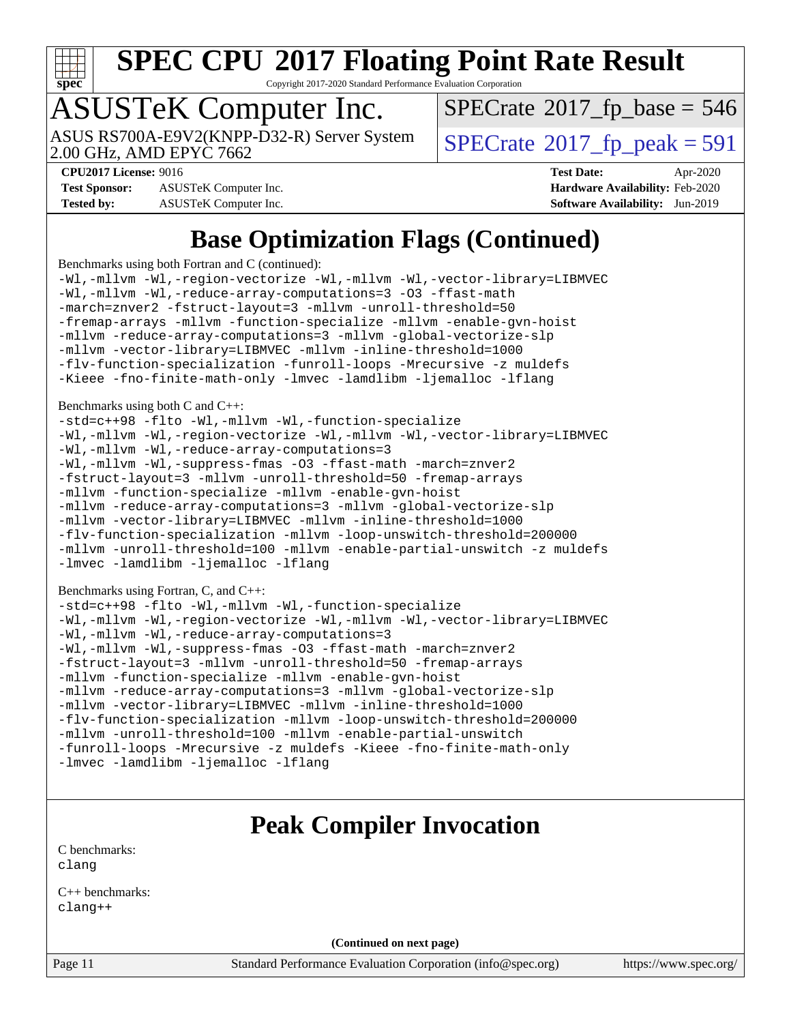

Copyright 2017-2020 Standard Performance Evaluation Corporation

# ASUSTeK Computer Inc.

 $SPECTate$ <sup>®</sup>[2017\\_fp\\_base =](http://www.spec.org/auto/cpu2017/Docs/result-fields.html#SPECrate2017fpbase) 546

2.00 GHz, AMD EPYC 7662 ASUS RS700A-E9V2(KNPP-D32-R) Server System  $\big|$  [SPECrate](http://www.spec.org/auto/cpu2017/Docs/result-fields.html#SPECrate2017fppeak)®[2017\\_fp\\_peak = 5](http://www.spec.org/auto/cpu2017/Docs/result-fields.html#SPECrate2017fppeak)91

**[Test Sponsor:](http://www.spec.org/auto/cpu2017/Docs/result-fields.html#TestSponsor)** ASUSTeK Computer Inc. **[Hardware Availability:](http://www.spec.org/auto/cpu2017/Docs/result-fields.html#HardwareAvailability)** Feb-2020 **[Tested by:](http://www.spec.org/auto/cpu2017/Docs/result-fields.html#Testedby)** ASUSTeK Computer Inc. **[Software Availability:](http://www.spec.org/auto/cpu2017/Docs/result-fields.html#SoftwareAvailability)** Jun-2019

**[CPU2017 License:](http://www.spec.org/auto/cpu2017/Docs/result-fields.html#CPU2017License)** 9016 **[Test Date:](http://www.spec.org/auto/cpu2017/Docs/result-fields.html#TestDate)** Apr-2020

### **[Base Optimization Flags \(Continued\)](http://www.spec.org/auto/cpu2017/Docs/result-fields.html#BaseOptimizationFlags)**

[Benchmarks using both Fortran and C](http://www.spec.org/auto/cpu2017/Docs/result-fields.html#BenchmarksusingbothFortranandC) (continued):

[-Wl,-mllvm -Wl,-region-vectorize](http://www.spec.org/cpu2017/results/res2020q2/cpu2017-20200427-22094.flags.html#user_CC_FCbase_F-region-vectorize_fb6c6b5aa293c88efc6c7c2b52b20755e943585b1fe8658c35afef78727fff56e1a56891413c30e36b8e2a6f9a71126986319243e80eb6110b78b288f533c52b) [-Wl,-mllvm -Wl,-vector-library=LIBMVEC](http://www.spec.org/cpu2017/results/res2020q2/cpu2017-20200427-22094.flags.html#user_CC_FCbase_F-use-vector-library_0a14b27fae317f283640384a31f7bfcc2bd4c1d0b5cfc618a3a430800c9b20217b00f61303eff223a3251b4f06ffbc9739dc5296db9d1fbb9ad24a3939d86d66) [-Wl,-mllvm -Wl,-reduce-array-computations=3](http://www.spec.org/cpu2017/results/res2020q2/cpu2017-20200427-22094.flags.html#user_CC_FCbase_F-reduce-array-computations_b882aefe7a5dda4e33149f6299762b9a720dace3e498e13756f4c04e5a19edf5315c1f3993de2e61ec41e8c206231f84e05da7040e1bb5d69ba27d10a12507e4) [-O3](http://www.spec.org/cpu2017/results/res2020q2/cpu2017-20200427-22094.flags.html#user_CC_FCbase_F-O3) [-ffast-math](http://www.spec.org/cpu2017/results/res2020q2/cpu2017-20200427-22094.flags.html#user_CC_FCbase_aocc-ffast-math) [-march=znver2](http://www.spec.org/cpu2017/results/res2020q2/cpu2017-20200427-22094.flags.html#user_CC_FCbase_aocc-march_3e2e19cff2eeef60c5d90b059483627c9ea47eca6d66670dbd53f9185f6439e27eb5e104cf773e9e8ab18c8842ce63e461a3e948d0214bd567ef3ade411bf467) [-fstruct-layout=3](http://www.spec.org/cpu2017/results/res2020q2/cpu2017-20200427-22094.flags.html#user_CC_FCbase_F-struct-layout) [-mllvm -unroll-threshold=50](http://www.spec.org/cpu2017/results/res2020q2/cpu2017-20200427-22094.flags.html#user_CC_FCbase_F-unroll-threshold_458874500b2c105d6d5cb4d7a611c40e2b16e9e3d26b355fea72d644c3673b4de4b3932662f0ed3dbec75c491a13da2d2ca81180bd779dc531083ef1e1e549dc) [-fremap-arrays](http://www.spec.org/cpu2017/results/res2020q2/cpu2017-20200427-22094.flags.html#user_CC_FCbase_F-fremap-arrays) [-mllvm -function-specialize](http://www.spec.org/cpu2017/results/res2020q2/cpu2017-20200427-22094.flags.html#user_CC_FCbase_F-function-specialize_233b3bdba86027f1b094368157e481c5bc59f40286dc25bfadc1858dcd5745c24fd30d5f188710db7fea399bcc9f44a80b3ce3aacc70a8870250c3ae5e1f35b8) [-mllvm -enable-gvn-hoist](http://www.spec.org/cpu2017/results/res2020q2/cpu2017-20200427-22094.flags.html#user_CC_FCbase_F-enable-gvn-hoist_e5856354646dd6ca1333a0ad99b817e4cf8932b91b82809fd8fd47ceff7b22a89eba5c98fd3e3fa5200368fd772cec3dd56abc3c8f7b655a71b9f9848dddedd5) [-mllvm -reduce-array-computations=3](http://www.spec.org/cpu2017/results/res2020q2/cpu2017-20200427-22094.flags.html#user_CC_FCbase_F-reduce-array-computations_aceadb8604558b566e0e3a0d7a3c1533923dd1fa0889614e16288028922629a28d5695c24d3b3be4306b1e311c54317dfffe3a2e57fbcaabc737a1798de39145) [-mllvm -global-vectorize-slp](http://www.spec.org/cpu2017/results/res2020q2/cpu2017-20200427-22094.flags.html#user_CC_FCbase_F-global-vectorize-slp_a3935e8627af4ced727033b1ffd4db27f4d541a363d28d82bf4c2925fb3a0fd4115d6e42d13a2829f9e024d6608eb67a85cb49770f2da5c5ac8dbc737afad603) [-mllvm -vector-library=LIBMVEC](http://www.spec.org/cpu2017/results/res2020q2/cpu2017-20200427-22094.flags.html#user_CC_FCbase_F-use-vector-library_e584e20b4f7ec96aa109254b65d8e01d864f3d68580371b9d93ed7c338191d4cfce20c3c864632264effc6bbe4c7c38153d02096a342ee92501c4a53204a7871) [-mllvm -inline-threshold=1000](http://www.spec.org/cpu2017/results/res2020q2/cpu2017-20200427-22094.flags.html#user_CC_FCbase_dragonegg-llvm-inline-threshold_b7832241b0a6397e4ecdbaf0eb7defdc10f885c2a282fa3240fdc99844d543fda39cf8a4a9dccf68cf19b5438ac3b455264f478df15da0f4988afa40d8243bab) [-flv-function-specialization](http://www.spec.org/cpu2017/results/res2020q2/cpu2017-20200427-22094.flags.html#user_CC_FCbase_F-flv-function-specialization) [-funroll-loops](http://www.spec.org/cpu2017/results/res2020q2/cpu2017-20200427-22094.flags.html#user_CC_FCbase_aocc-unroll-loops) [-Mrecursive](http://www.spec.org/cpu2017/results/res2020q2/cpu2017-20200427-22094.flags.html#user_CC_FCbase_F-mrecursive_20a145d63f12d5750a899e17d4450b5b8b40330a9bb4af13688ca650e6fb30857bbbe44fb35cdbb895df6e5b2769de0a0d7659f51ff17acfbef6febafec4023f) [-z muldefs](http://www.spec.org/cpu2017/results/res2020q2/cpu2017-20200427-22094.flags.html#user_CC_FCbase_aocc-muldefs) [-Kieee](http://www.spec.org/cpu2017/results/res2020q2/cpu2017-20200427-22094.flags.html#user_CC_FCbase_F-kieee) [-fno-finite-math-only](http://www.spec.org/cpu2017/results/res2020q2/cpu2017-20200427-22094.flags.html#user_CC_FCbase_aocc-fno-finite-math-only) [-lmvec](http://www.spec.org/cpu2017/results/res2020q2/cpu2017-20200427-22094.flags.html#user_CC_FCbase_F-lmvec) [-lamdlibm](http://www.spec.org/cpu2017/results/res2020q2/cpu2017-20200427-22094.flags.html#user_CC_FCbase_F-lamdlibm) [-ljemalloc](http://www.spec.org/cpu2017/results/res2020q2/cpu2017-20200427-22094.flags.html#user_CC_FCbase_jemalloc-lib) [-lflang](http://www.spec.org/cpu2017/results/res2020q2/cpu2017-20200427-22094.flags.html#user_CC_FCbase_F-lflang)

[Benchmarks using both C and C++](http://www.spec.org/auto/cpu2017/Docs/result-fields.html#BenchmarksusingbothCandCXX):

```
-std=c++98 -flto -Wl,-mllvm -Wl,-function-specialize
-Wl,-mllvm -Wl,-region-vectorize -Wl,-mllvm -Wl,-vector-library=LIBMVEC
-Wl,-mllvm -Wl,-reduce-array-computations=3
-Wl,-mllvm -Wl,-suppress-fmas -O3 -ffast-math -march=znver2
-fstruct-layout=3 -mllvm -unroll-threshold=50 -fremap-arrays
-mllvm -function-specialize -mllvm -enable-gvn-hoist
-mllvm -reduce-array-computations=3 -mllvm -global-vectorize-slp
-mllvm -vector-library=LIBMVEC -mllvm -inline-threshold=1000
-flv-function-specialization -mllvm -loop-unswitch-threshold=200000
-mllvm -unroll-threshold=100 -mllvm -enable-partial-unswitch -z muldefs
-lmvec -lamdlibm -ljemalloc -lflang
```
[Benchmarks using Fortran, C, and C++:](http://www.spec.org/auto/cpu2017/Docs/result-fields.html#BenchmarksusingFortranCandCXX)

```
-std=c++98 -flto -Wl,-mllvm -Wl,-function-specialize
-Wl,-mllvm -Wl,-region-vectorize -Wl,-mllvm -Wl,-vector-library=LIBMVEC
-Wl,-mllvm -Wl,-reduce-array-computations=3
-Wl,-mllvm -Wl,-suppress-fmas -O3 -ffast-math -march=znver2
-fstruct-layout=3 -mllvm -unroll-threshold=50 -fremap-arrays
-mllvm -function-specialize -mllvm -enable-gvn-hoist
-mllvm -reduce-array-computations=3 -mllvm -global-vectorize-slp
-mllvm -vector-library=LIBMVEC -mllvm -inline-threshold=1000
-flv-function-specialization -mllvm -loop-unswitch-threshold=200000
-mllvm -unroll-threshold=100 -mllvm -enable-partial-unswitch
-funroll-loops -Mrecursive -z muldefs -Kieee -fno-finite-math-only
-lmvec-lamdlibm-ljemalloc-lflang
```
### **[Peak Compiler Invocation](http://www.spec.org/auto/cpu2017/Docs/result-fields.html#PeakCompilerInvocation)**

[C benchmarks](http://www.spec.org/auto/cpu2017/Docs/result-fields.html#Cbenchmarks): [clang](http://www.spec.org/cpu2017/results/res2020q2/cpu2017-20200427-22094.flags.html#user_CCpeak_clang-c)

[C++ benchmarks:](http://www.spec.org/auto/cpu2017/Docs/result-fields.html#CXXbenchmarks) [clang++](http://www.spec.org/cpu2017/results/res2020q2/cpu2017-20200427-22094.flags.html#user_CXXpeak_clang-cpp)

**(Continued on next page)**

Page 11 Standard Performance Evaluation Corporation [\(info@spec.org\)](mailto:info@spec.org) <https://www.spec.org/>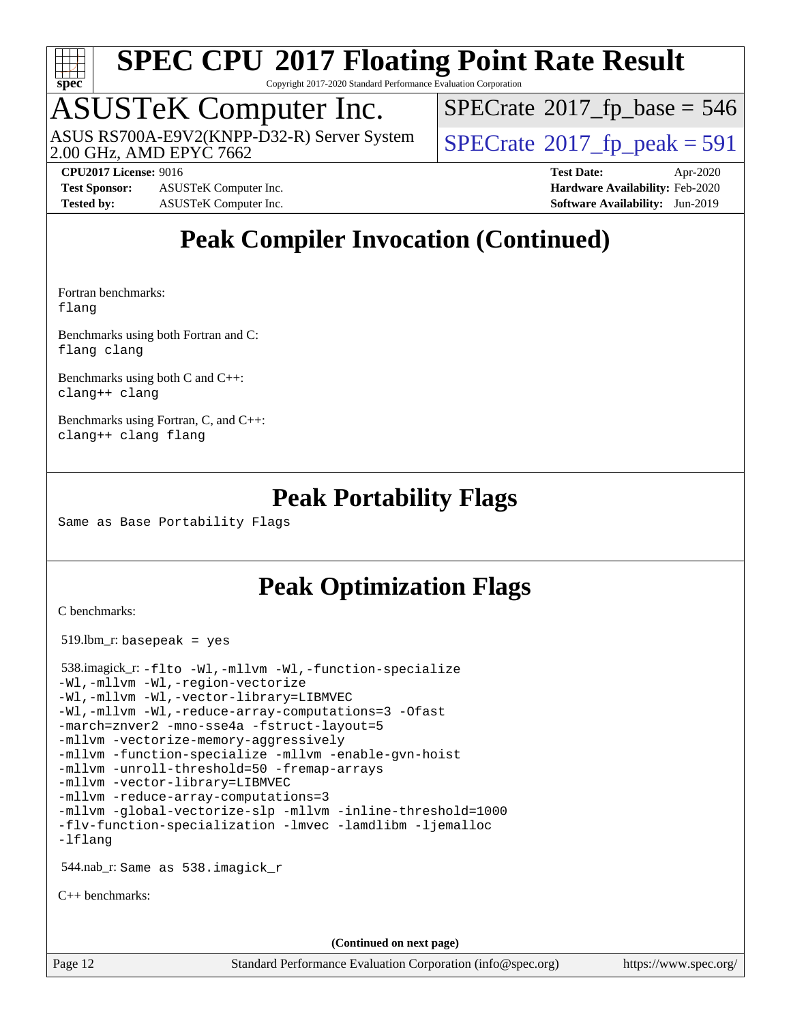

Copyright 2017-2020 Standard Performance Evaluation Corporation

### ASUSTeK Computer Inc.

2.00 GHz, AMD EPYC 7662 ASUS RS700A-E9V2(KNPP-D32-R) Server System  $\big|$  [SPECrate](http://www.spec.org/auto/cpu2017/Docs/result-fields.html#SPECrate2017fppeak)®[2017\\_fp\\_peak = 5](http://www.spec.org/auto/cpu2017/Docs/result-fields.html#SPECrate2017fppeak)91

 $SPECTate$ <sup>®</sup>[2017\\_fp\\_base =](http://www.spec.org/auto/cpu2017/Docs/result-fields.html#SPECrate2017fpbase) 546

**[Test Sponsor:](http://www.spec.org/auto/cpu2017/Docs/result-fields.html#TestSponsor)** ASUSTeK Computer Inc. **[Hardware Availability:](http://www.spec.org/auto/cpu2017/Docs/result-fields.html#HardwareAvailability)** Feb-2020 **[Tested by:](http://www.spec.org/auto/cpu2017/Docs/result-fields.html#Testedby)** ASUSTeK Computer Inc. **[Software Availability:](http://www.spec.org/auto/cpu2017/Docs/result-fields.html#SoftwareAvailability)** Jun-2019

**[CPU2017 License:](http://www.spec.org/auto/cpu2017/Docs/result-fields.html#CPU2017License)** 9016 **[Test Date:](http://www.spec.org/auto/cpu2017/Docs/result-fields.html#TestDate)** Apr-2020

### **[Peak Compiler Invocation \(Continued\)](http://www.spec.org/auto/cpu2017/Docs/result-fields.html#PeakCompilerInvocation)**

[Fortran benchmarks](http://www.spec.org/auto/cpu2017/Docs/result-fields.html#Fortranbenchmarks): [flang](http://www.spec.org/cpu2017/results/res2020q2/cpu2017-20200427-22094.flags.html#user_FCpeak_flang)

[Benchmarks using both Fortran and C](http://www.spec.org/auto/cpu2017/Docs/result-fields.html#BenchmarksusingbothFortranandC): [flang](http://www.spec.org/cpu2017/results/res2020q2/cpu2017-20200427-22094.flags.html#user_CC_FCpeak_flang) [clang](http://www.spec.org/cpu2017/results/res2020q2/cpu2017-20200427-22094.flags.html#user_CC_FCpeak_clang-c)

[Benchmarks using both C and C++](http://www.spec.org/auto/cpu2017/Docs/result-fields.html#BenchmarksusingbothCandCXX): [clang++](http://www.spec.org/cpu2017/results/res2020q2/cpu2017-20200427-22094.flags.html#user_CC_CXXpeak_clang-cpp) [clang](http://www.spec.org/cpu2017/results/res2020q2/cpu2017-20200427-22094.flags.html#user_CC_CXXpeak_clang-c)

[Benchmarks using Fortran, C, and C++:](http://www.spec.org/auto/cpu2017/Docs/result-fields.html#BenchmarksusingFortranCandCXX) [clang++](http://www.spec.org/cpu2017/results/res2020q2/cpu2017-20200427-22094.flags.html#user_CC_CXX_FCpeak_clang-cpp) [clang](http://www.spec.org/cpu2017/results/res2020q2/cpu2017-20200427-22094.flags.html#user_CC_CXX_FCpeak_clang-c) [flang](http://www.spec.org/cpu2017/results/res2020q2/cpu2017-20200427-22094.flags.html#user_CC_CXX_FCpeak_flang)

### **[Peak Portability Flags](http://www.spec.org/auto/cpu2017/Docs/result-fields.html#PeakPortabilityFlags)**

Same as Base Portability Flags

### **[Peak Optimization Flags](http://www.spec.org/auto/cpu2017/Docs/result-fields.html#PeakOptimizationFlags)**

[C benchmarks](http://www.spec.org/auto/cpu2017/Docs/result-fields.html#Cbenchmarks):

519.lbm\_r: basepeak = yes

 538.imagick\_r: [-flto](http://www.spec.org/cpu2017/results/res2020q2/cpu2017-20200427-22094.flags.html#user_peakCOPTIMIZELDFLAGS538_imagick_r_aocc-flto) [-Wl,-mllvm -Wl,-function-specialize](http://www.spec.org/cpu2017/results/res2020q2/cpu2017-20200427-22094.flags.html#user_peakLDFLAGS538_imagick_r_F-function-specialize_7e7e661e57922243ee67c9a1251cb8910e607325179a0ce7f2884e09a6f5d4a5ef0ae4f37e8a2a11c95fc48e931f06dc2b6016f14b511fcb441e048bef1b065a) [-Wl,-mllvm -Wl,-region-vectorize](http://www.spec.org/cpu2017/results/res2020q2/cpu2017-20200427-22094.flags.html#user_peakLDFLAGS538_imagick_r_F-region-vectorize_fb6c6b5aa293c88efc6c7c2b52b20755e943585b1fe8658c35afef78727fff56e1a56891413c30e36b8e2a6f9a71126986319243e80eb6110b78b288f533c52b) [-Wl,-mllvm -Wl,-vector-library=LIBMVEC](http://www.spec.org/cpu2017/results/res2020q2/cpu2017-20200427-22094.flags.html#user_peakLDFLAGS538_imagick_r_F-use-vector-library_0a14b27fae317f283640384a31f7bfcc2bd4c1d0b5cfc618a3a430800c9b20217b00f61303eff223a3251b4f06ffbc9739dc5296db9d1fbb9ad24a3939d86d66) [-Wl,-mllvm -Wl,-reduce-array-computations=3](http://www.spec.org/cpu2017/results/res2020q2/cpu2017-20200427-22094.flags.html#user_peakLDFLAGS538_imagick_r_F-reduce-array-computations_b882aefe7a5dda4e33149f6299762b9a720dace3e498e13756f4c04e5a19edf5315c1f3993de2e61ec41e8c206231f84e05da7040e1bb5d69ba27d10a12507e4) [-Ofast](http://www.spec.org/cpu2017/results/res2020q2/cpu2017-20200427-22094.flags.html#user_peakCOPTIMIZE538_imagick_r_aocc-Ofast) [-march=znver2](http://www.spec.org/cpu2017/results/res2020q2/cpu2017-20200427-22094.flags.html#user_peakCOPTIMIZE538_imagick_r_aocc-march_3e2e19cff2eeef60c5d90b059483627c9ea47eca6d66670dbd53f9185f6439e27eb5e104cf773e9e8ab18c8842ce63e461a3e948d0214bd567ef3ade411bf467) [-mno-sse4a](http://www.spec.org/cpu2017/results/res2020q2/cpu2017-20200427-22094.flags.html#user_peakCOPTIMIZE538_imagick_r_F-mno-sse4a) [-fstruct-layout=5](http://www.spec.org/cpu2017/results/res2020q2/cpu2017-20200427-22094.flags.html#user_peakCOPTIMIZE538_imagick_r_F-struct-layout_0de9d3561e9f54a54e0843cce081bd13a08ab3e9a82696f3346606c2e11360c37113781019b02fa128d9f650e68f1ffd209bab5c3a026c1ad23e4e7f60646b23) [-mllvm -vectorize-memory-aggressively](http://www.spec.org/cpu2017/results/res2020q2/cpu2017-20200427-22094.flags.html#user_peakCOPTIMIZE538_imagick_r_F-vectorize-memory-aggressively_24b72a4417f50ade9e698c5b3bed87ab456cc6fc8ec6439480cb84f36ad6a3975af6e87206dea402e3871a1464ff3d60bc798e0250f330177ba629a260df1857) [-mllvm -function-specialize](http://www.spec.org/cpu2017/results/res2020q2/cpu2017-20200427-22094.flags.html#user_peakCOPTIMIZE538_imagick_r_F-function-specialize_233b3bdba86027f1b094368157e481c5bc59f40286dc25bfadc1858dcd5745c24fd30d5f188710db7fea399bcc9f44a80b3ce3aacc70a8870250c3ae5e1f35b8) [-mllvm -enable-gvn-hoist](http://www.spec.org/cpu2017/results/res2020q2/cpu2017-20200427-22094.flags.html#user_peakCOPTIMIZE538_imagick_r_F-enable-gvn-hoist_e5856354646dd6ca1333a0ad99b817e4cf8932b91b82809fd8fd47ceff7b22a89eba5c98fd3e3fa5200368fd772cec3dd56abc3c8f7b655a71b9f9848dddedd5) [-mllvm -unroll-threshold=50](http://www.spec.org/cpu2017/results/res2020q2/cpu2017-20200427-22094.flags.html#user_peakCOPTIMIZE538_imagick_r_F-unroll-threshold_458874500b2c105d6d5cb4d7a611c40e2b16e9e3d26b355fea72d644c3673b4de4b3932662f0ed3dbec75c491a13da2d2ca81180bd779dc531083ef1e1e549dc) [-fremap-arrays](http://www.spec.org/cpu2017/results/res2020q2/cpu2017-20200427-22094.flags.html#user_peakCOPTIMIZE538_imagick_r_F-fremap-arrays) [-mllvm -vector-library=LIBMVEC](http://www.spec.org/cpu2017/results/res2020q2/cpu2017-20200427-22094.flags.html#user_peakCOPTIMIZE538_imagick_r_F-use-vector-library_e584e20b4f7ec96aa109254b65d8e01d864f3d68580371b9d93ed7c338191d4cfce20c3c864632264effc6bbe4c7c38153d02096a342ee92501c4a53204a7871) [-mllvm -reduce-array-computations=3](http://www.spec.org/cpu2017/results/res2020q2/cpu2017-20200427-22094.flags.html#user_peakCOPTIMIZE538_imagick_r_F-reduce-array-computations_aceadb8604558b566e0e3a0d7a3c1533923dd1fa0889614e16288028922629a28d5695c24d3b3be4306b1e311c54317dfffe3a2e57fbcaabc737a1798de39145) [-mllvm -global-vectorize-slp](http://www.spec.org/cpu2017/results/res2020q2/cpu2017-20200427-22094.flags.html#user_peakCOPTIMIZE538_imagick_r_F-global-vectorize-slp_a3935e8627af4ced727033b1ffd4db27f4d541a363d28d82bf4c2925fb3a0fd4115d6e42d13a2829f9e024d6608eb67a85cb49770f2da5c5ac8dbc737afad603) [-mllvm -inline-threshold=1000](http://www.spec.org/cpu2017/results/res2020q2/cpu2017-20200427-22094.flags.html#user_peakCOPTIMIZE538_imagick_r_dragonegg-llvm-inline-threshold_b7832241b0a6397e4ecdbaf0eb7defdc10f885c2a282fa3240fdc99844d543fda39cf8a4a9dccf68cf19b5438ac3b455264f478df15da0f4988afa40d8243bab) [-flv-function-specialization](http://www.spec.org/cpu2017/results/res2020q2/cpu2017-20200427-22094.flags.html#user_peakCOPTIMIZE538_imagick_r_F-flv-function-specialization) [-lmvec](http://www.spec.org/cpu2017/results/res2020q2/cpu2017-20200427-22094.flags.html#user_peakEXTRA_LIBSMATH_LIBS538_imagick_r_F-lmvec) [-lamdlibm](http://www.spec.org/cpu2017/results/res2020q2/cpu2017-20200427-22094.flags.html#user_peakEXTRA_LIBSMATH_LIBS538_imagick_r_F-lamdlibm) [-ljemalloc](http://www.spec.org/cpu2017/results/res2020q2/cpu2017-20200427-22094.flags.html#user_peakEXTRA_LIBS538_imagick_r_jemalloc-lib) [-lflang](http://www.spec.org/cpu2017/results/res2020q2/cpu2017-20200427-22094.flags.html#user_peakEXTRA_LIBS538_imagick_r_F-lflang) 544.nab\_r: Same as 538.imagick\_r [C++ benchmarks:](http://www.spec.org/auto/cpu2017/Docs/result-fields.html#CXXbenchmarks)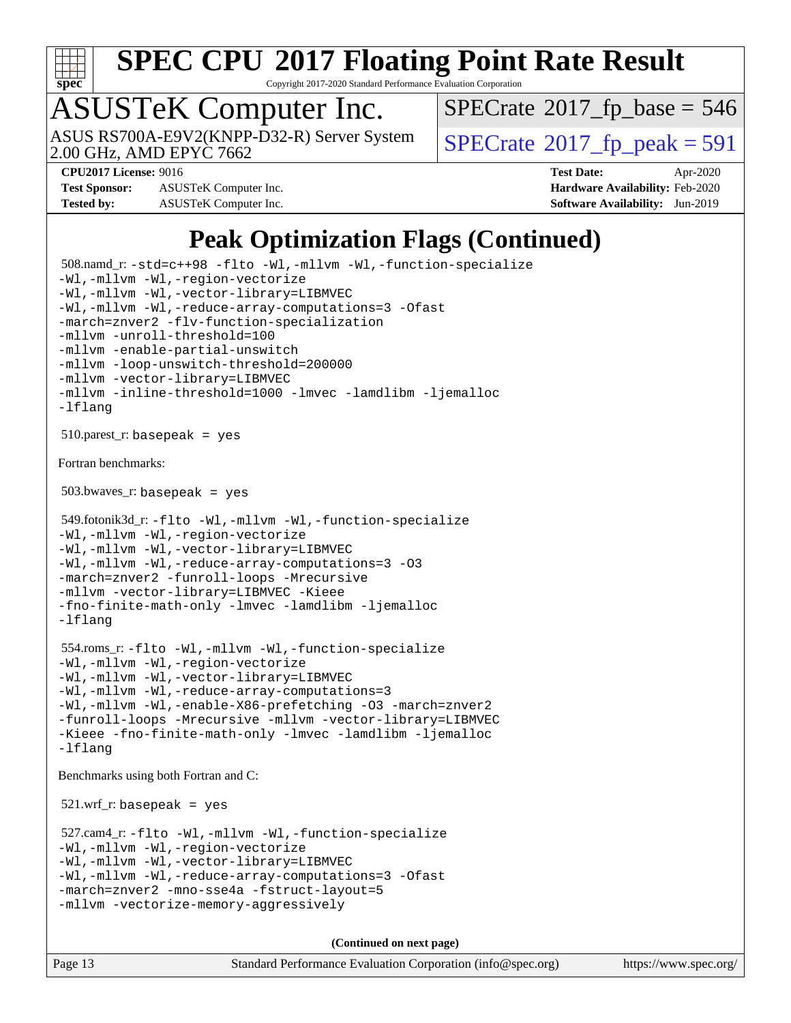

Copyright 2017-2020 Standard Performance Evaluation Corporation

# ASUSTeK Computer Inc.

2.00 GHz, AMD EPYC 7662 ASUS RS700A-E9V2(KNPP-D32-R) Server System  $\big|$  [SPECrate](http://www.spec.org/auto/cpu2017/Docs/result-fields.html#SPECrate2017fppeak)®[2017\\_fp\\_peak = 5](http://www.spec.org/auto/cpu2017/Docs/result-fields.html#SPECrate2017fppeak)91

 $SPECTate$ <sup>®</sup>[2017\\_fp\\_base =](http://www.spec.org/auto/cpu2017/Docs/result-fields.html#SPECrate2017fpbase) 546

**[Test Sponsor:](http://www.spec.org/auto/cpu2017/Docs/result-fields.html#TestSponsor)** ASUSTeK Computer Inc. **[Hardware Availability:](http://www.spec.org/auto/cpu2017/Docs/result-fields.html#HardwareAvailability)** Feb-2020 **[Tested by:](http://www.spec.org/auto/cpu2017/Docs/result-fields.html#Testedby)** ASUSTeK Computer Inc. **[Software Availability:](http://www.spec.org/auto/cpu2017/Docs/result-fields.html#SoftwareAvailability)** Jun-2019

**[CPU2017 License:](http://www.spec.org/auto/cpu2017/Docs/result-fields.html#CPU2017License)** 9016 **[Test Date:](http://www.spec.org/auto/cpu2017/Docs/result-fields.html#TestDate)** Apr-2020

### **[Peak Optimization Flags \(Continued\)](http://www.spec.org/auto/cpu2017/Docs/result-fields.html#PeakOptimizationFlags)**

```
 508.namd_r: -std=c++98 -flto -Wl,-mllvm -Wl,-function-specialize
-Wl,-mllvm -Wl,-region-vectorize
-Wl,-mllvm -Wl,-vector-library=LIBMVEC
-Wl,-mllvm -Wl,-reduce-array-computations=3 -Ofast
-march=znver2 -flv-function-specialization
-mllvm -unroll-threshold=100
-mllvm -enable-partial-unswitch
-mllvm -loop-unswitch-threshold=200000
-mllvm -vector-library=LIBMVEC
-mllvm -inline-threshold=1000 -lmvec -lamdlibm -ljemalloc
-lflang
510.parest_r: basepeak = yes
Fortran benchmarks: 
 503.bwaves_r: basepeak = yes
 549.fotonik3d_r: -flto -Wl,-mllvm -Wl,-function-specialize
-Wl,-mllvm -Wl,-region-vectorize
-Wl,-mllvm -Wl,-vector-library=LIBMVEC
-Wl,-mllvm -Wl,-reduce-array-computations=3 -O3
-march=znver2 -funroll-loops -Mrecursive
-mllvm -vector-library=LIBMVEC -Kieee
-fno-finite-math-only -lmvec -lamdlibm -ljemalloc
-lflang
 554.roms_r: -flto -Wl,-mllvm -Wl,-function-specialize
-Wl,-mllvm -Wl,-region-vectorize
-Wl,-mllvm -Wl,-vector-library=LIBMVEC
-Wl,-mllvm -Wl,-reduce-array-computations=3
-Wl,-mllvm -Wl,-enable-X86-prefetching -O3 -march=znver2
-funroll-loops -Mrecursive -mllvm -vector-library=LIBMVEC
-Kieee -fno-finite-math-only -lmvec -lamdlibm -ljemalloc
-lflang
Benchmarks using both Fortran and C: 
521.wrf\_r: basepeak = yes
 527.cam4_r: -flto -Wl,-mllvm -Wl,-function-specialize
-Wl,-mllvm -Wl,-region-vectorize
-Wl,-mllvm -Wl,-vector-library=LIBMVEC
-Wl,-mllvm -Wl,-reduce-array-computations=3 -Ofast
-march=znver2 -mno-sse4a -fstruct-layout=5
-mllvm -vectorize-memory-aggressively
                                     (Continued on next page)
```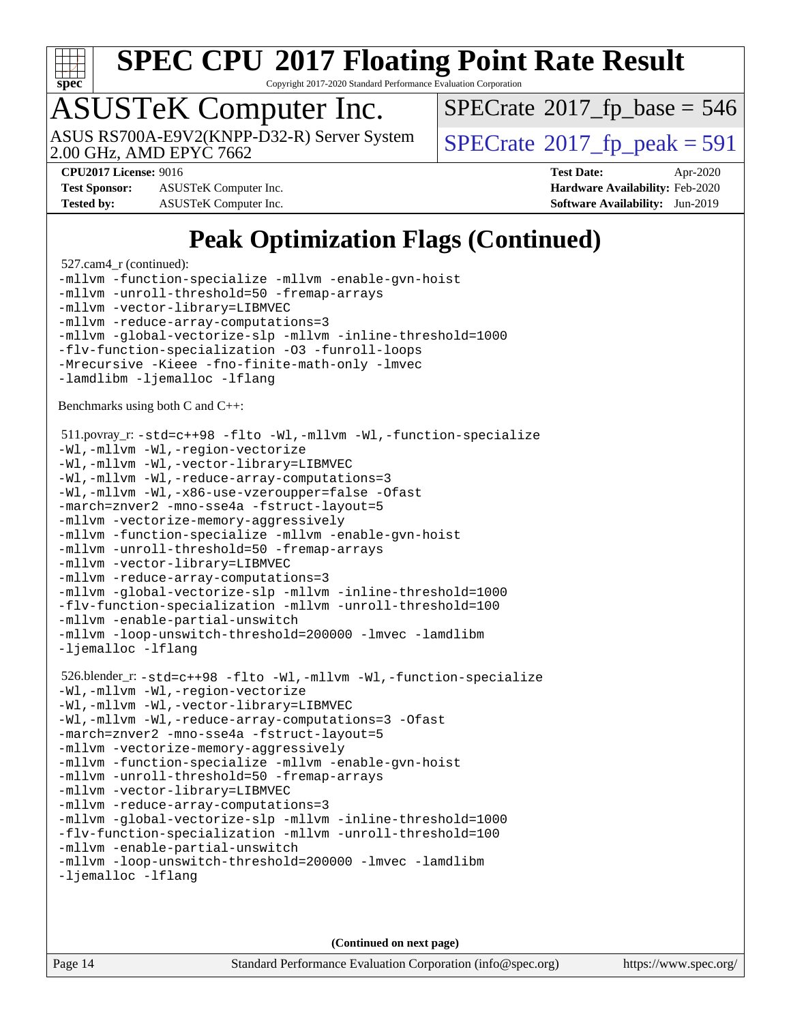

Copyright 2017-2020 Standard Performance Evaluation Corporation

# ASUSTeK Computer Inc.

2.00 GHz, AMD EPYC 7662 ASUS RS700A-E9V2(KNPP-D32-R) Server System  $\big|$  [SPECrate](http://www.spec.org/auto/cpu2017/Docs/result-fields.html#SPECrate2017fppeak)®[2017\\_fp\\_peak = 5](http://www.spec.org/auto/cpu2017/Docs/result-fields.html#SPECrate2017fppeak)91

 $SPECTate$ <sup>®</sup>[2017\\_fp\\_base =](http://www.spec.org/auto/cpu2017/Docs/result-fields.html#SPECrate2017fpbase) 546

**[Test Sponsor:](http://www.spec.org/auto/cpu2017/Docs/result-fields.html#TestSponsor)** ASUSTeK Computer Inc. **[Hardware Availability:](http://www.spec.org/auto/cpu2017/Docs/result-fields.html#HardwareAvailability)** Feb-2020 **[Tested by:](http://www.spec.org/auto/cpu2017/Docs/result-fields.html#Testedby)** ASUSTeK Computer Inc. **[Software Availability:](http://www.spec.org/auto/cpu2017/Docs/result-fields.html#SoftwareAvailability)** Jun-2019

**[CPU2017 License:](http://www.spec.org/auto/cpu2017/Docs/result-fields.html#CPU2017License)** 9016 **[Test Date:](http://www.spec.org/auto/cpu2017/Docs/result-fields.html#TestDate)** Apr-2020

**[Peak Optimization Flags \(Continued\)](http://www.spec.org/auto/cpu2017/Docs/result-fields.html#PeakOptimizationFlags)**

```
 527.cam4_r (continued):
-mllvm -function-specialize -mllvm -enable-gvn-hoist
-mllvm -unroll-threshold=50 -fremap-arrays
-mllvm -vector-library=LIBMVEC
-mllvm -reduce-array-computations=3
-mllvm -global-vectorize-slp -mllvm -inline-threshold=1000
-flv-function-specialization -O3 -funroll-loops
-Mrecursive -Kieee -fno-finite-math-only -lmvec
-lamdlibm -ljemalloc -lflang
Benchmarks using both C and C++: 
 511.povray_r: -std=c++98 -flto -Wl,-mllvm -Wl,-function-specialize
-Wl,-mllvm -Wl,-region-vectorize
-Wl,-mllvm -Wl,-vector-library=LIBMVEC
-Wl,-mllvm -Wl,-reduce-array-computations=3
-Wl,-mllvm -Wl,-x86-use-vzeroupper=false -Ofast
-march=znver2 -mno-sse4a -fstruct-layout=5
-mllvm -vectorize-memory-aggressively
-mllvm -function-specialize -mllvm -enable-gvn-hoist
-mllvm -unroll-threshold=50 -fremap-arrays
-mllvm -vector-library=LIBMVEC
-mllvm -reduce-array-computations=3
-mllvm -global-vectorize-slp -mllvm -inline-threshold=1000
-flv-function-specialization -mllvm -unroll-threshold=100
-mllvm -enable-partial-unswitch
-mllvm -loop-unswitch-threshold=200000 -lmvec -lamdlibm
-ljemalloc -lflang
 526.blender_r: -std=c++98 -flto -Wl,-mllvm -Wl,-function-specialize
-Wl,-mllvm -Wl,-region-vectorize
-Wl,-mllvm -Wl,-vector-library=LIBMVEC
-Wl,-mllvm -Wl,-reduce-array-computations=3 -Ofast
-march=znver2 -mno-sse4a -fstruct-layout=5
-mllvm -vectorize-memory-aggressively
-mllvm -function-specialize -mllvm -enable-gvn-hoist
-mllvm -unroll-threshold=50 -fremap-arrays
-mllvm -vector-library=LIBMVEC
-mllvm -reduce-array-computations=3
-mllvm -global-vectorize-slp -mllvm -inline-threshold=1000
-flv-function-specialization -mllvm -unroll-threshold=100
-mllvm -enable-partial-unswitch
-mllvm -loop-unswitch-threshold=200000 -lmvec -lamdlibm
-ljemalloc -lflang
```